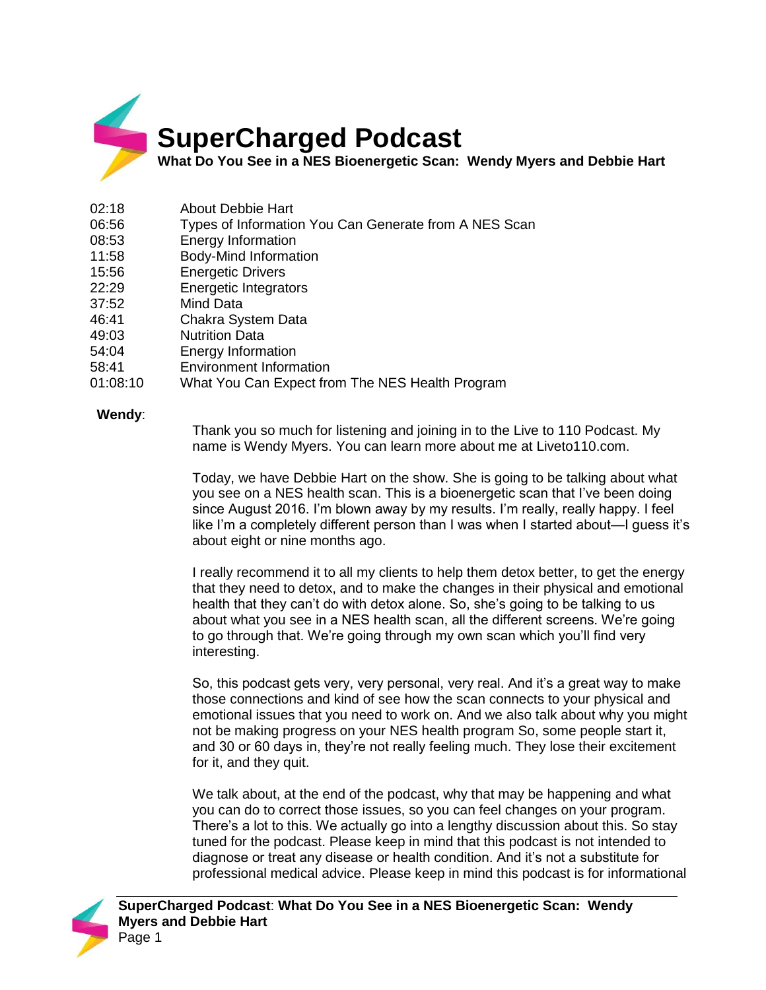

## **SuperCharged Podcast**

**What Do You See in a NES Bioenergetic Scan: Wendy Myers and Debbie Hart**

- 02:18 About Debbie Hart
- 06:56 Types of Information You Can Generate from A NES Scan
- 08:53 Energy Information
- 11:58 Body-Mind Information
- 15:56 Energetic Drivers
- 22:29 Energetic Integrators
- 37:52 Mind Data
- 46:41 Chakra System Data
- 49:03 Nutrition Data
- 54:04 Energy Information
- 58:41 Environment Information
- 01:08:10 What You Can Expect from The NES Health Program

## **Wendy**:

Thank you so much for listening and joining in to the Live to 110 Podcast. My name is Wendy Myers. You can learn more about me at Liveto110.com.

Today, we have Debbie Hart on the show. She is going to be talking about what you see on a NES health scan. This is a bioenergetic scan that I've been doing since August 2016. I'm blown away by my results. I'm really, really happy. I feel like I'm a completely different person than I was when I started about—I guess it's about eight or nine months ago.

I really recommend it to all my clients to help them detox better, to get the energy that they need to detox, and to make the changes in their physical and emotional health that they can't do with detox alone. So, she's going to be talking to us about what you see in a NES health scan, all the different screens. We're going to go through that. We're going through my own scan which you'll find very interesting.

So, this podcast gets very, very personal, very real. And it's a great way to make those connections and kind of see how the scan connects to your physical and emotional issues that you need to work on. And we also talk about why you might not be making progress on your NES health program So, some people start it, and 30 or 60 days in, they're not really feeling much. They lose their excitement for it, and they quit.

We talk about, at the end of the podcast, why that may be happening and what you can do to correct those issues, so you can feel changes on your program. There's a lot to this. We actually go into a lengthy discussion about this. So stay tuned for the podcast. Please keep in mind that this podcast is not intended to diagnose or treat any disease or health condition. And it's not a substitute for professional medical advice. Please keep in mind this podcast is for informational

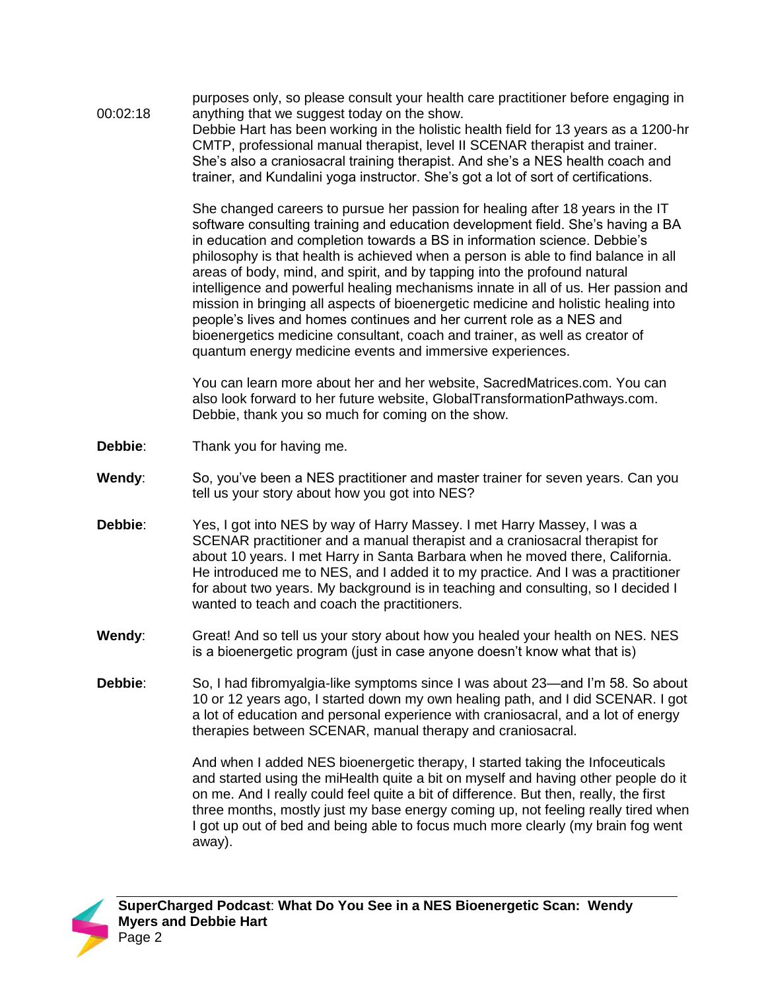00:02:18 purposes only, so please consult your health care practitioner before engaging in anything that we suggest today on the show. Debbie Hart has been working in the holistic health field for 13 years as a 1200-hr CMTP, professional manual therapist, level II SCENAR therapist and trainer. She's also a craniosacral training therapist. And she's a NES health coach and trainer, and Kundalini yoga instructor. She's got a lot of sort of certifications.

> She changed careers to pursue her passion for healing after 18 years in the IT software consulting training and education development field. She's having a BA in education and completion towards a BS in information science. Debbie's philosophy is that health is achieved when a person is able to find balance in all areas of body, mind, and spirit, and by tapping into the profound natural intelligence and powerful healing mechanisms innate in all of us. Her passion and mission in bringing all aspects of bioenergetic medicine and holistic healing into people's lives and homes continues and her current role as a NES and bioenergetics medicine consultant, coach and trainer, as well as creator of quantum energy medicine events and immersive experiences.

You can learn more about her and her website, SacredMatrices.com. You can also look forward to her future website, GlobalTransformationPathways.com. Debbie, thank you so much for coming on the show.

- **Debbie**: Thank you for having me.
- **Wendy**: So, you've been a NES practitioner and master trainer for seven years. Can you tell us your story about how you got into NES?
- **Debbie**: Yes, I got into NES by way of Harry Massey. I met Harry Massey, I was a SCENAR practitioner and a manual therapist and a craniosacral therapist for about 10 years. I met Harry in Santa Barbara when he moved there, California. He introduced me to NES, and I added it to my practice. And I was a practitioner for about two years. My background is in teaching and consulting, so I decided I wanted to teach and coach the practitioners.
- **Wendy**: Great! And so tell us your story about how you healed your health on NES. NES is a bioenergetic program (just in case anyone doesn't know what that is)
- **Debbie**: So, I had fibromyalgia-like symptoms since I was about 23—and I'm 58. So about 10 or 12 years ago, I started down my own healing path, and I did SCENAR. I got a lot of education and personal experience with craniosacral, and a lot of energy therapies between SCENAR, manual therapy and craniosacral.

And when I added NES bioenergetic therapy, I started taking the Infoceuticals and started using the miHealth quite a bit on myself and having other people do it on me. And I really could feel quite a bit of difference. But then, really, the first three months, mostly just my base energy coming up, not feeling really tired when I got up out of bed and being able to focus much more clearly (my brain fog went away).

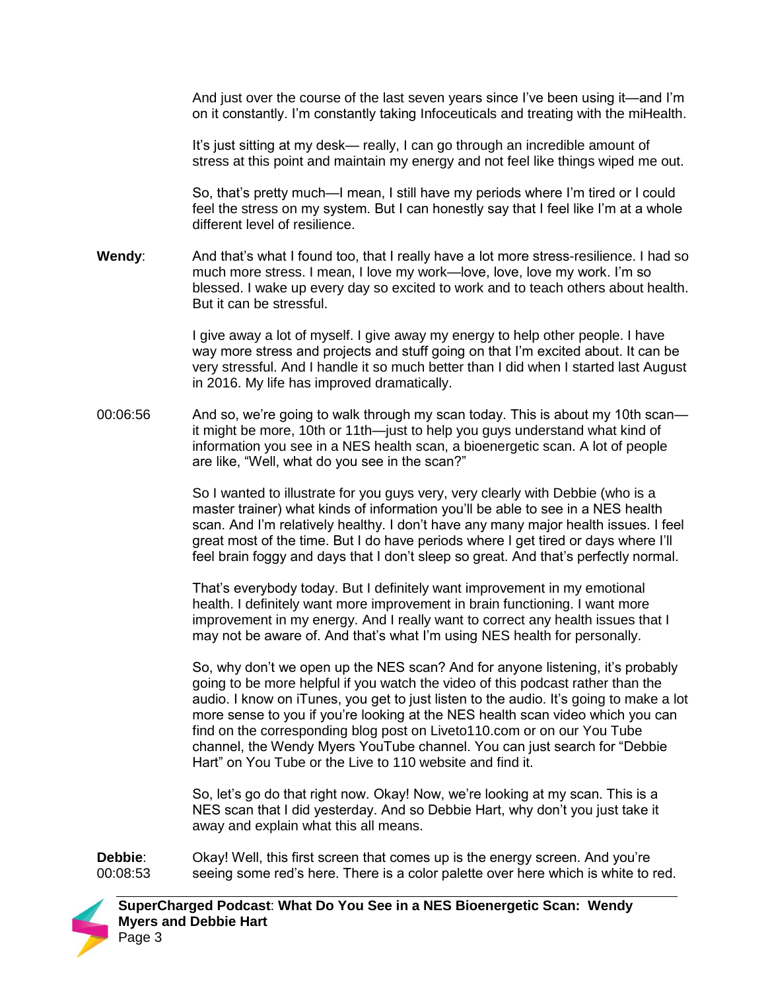And just over the course of the last seven years since I've been using it—and I'm on it constantly. I'm constantly taking Infoceuticals and treating with the miHealth.

It's just sitting at my desk— really, I can go through an incredible amount of stress at this point and maintain my energy and not feel like things wiped me out.

So, that's pretty much—I mean, I still have my periods where I'm tired or I could feel the stress on my system. But I can honestly say that I feel like I'm at a whole different level of resilience.

**Wendy**: And that's what I found too, that I really have a lot more stress-resilience. I had so much more stress. I mean, I love my work—love, love, love my work. I'm so blessed. I wake up every day so excited to work and to teach others about health. But it can be stressful.

> I give away a lot of myself. I give away my energy to help other people. I have way more stress and projects and stuff going on that I'm excited about. It can be very stressful. And I handle it so much better than I did when I started last August in 2016. My life has improved dramatically.

00:06:56 And so, we're going to walk through my scan today. This is about my 10th scan it might be more, 10th or 11th—just to help you guys understand what kind of information you see in a NES health scan, a bioenergetic scan. A lot of people are like, "Well, what do you see in the scan?"

> So I wanted to illustrate for you guys very, very clearly with Debbie (who is a master trainer) what kinds of information you'll be able to see in a NES health scan. And I'm relatively healthy. I don't have any many major health issues. I feel great most of the time. But I do have periods where I get tired or days where I'll feel brain foggy and days that I don't sleep so great. And that's perfectly normal.

That's everybody today. But I definitely want improvement in my emotional health. I definitely want more improvement in brain functioning. I want more improvement in my energy. And I really want to correct any health issues that I may not be aware of. And that's what I'm using NES health for personally.

So, why don't we open up the NES scan? And for anyone listening, it's probably going to be more helpful if you watch the video of this podcast rather than the audio. I know on iTunes, you get to just listen to the audio. It's going to make a lot more sense to you if you're looking at the NES health scan video which you can find on the corresponding blog post on Liveto110.com or on our You Tube channel, the Wendy Myers YouTube channel. You can just search for "Debbie Hart" on You Tube or the Live to 110 website and find it.

So, let's go do that right now. Okay! Now, we're looking at my scan. This is a NES scan that I did yesterday. And so Debbie Hart, why don't you just take it away and explain what this all means.

**Debbie**: 00:08:53 Okay! Well, this first screen that comes up is the energy screen. And you're seeing some red's here. There is a color palette over here which is white to red.

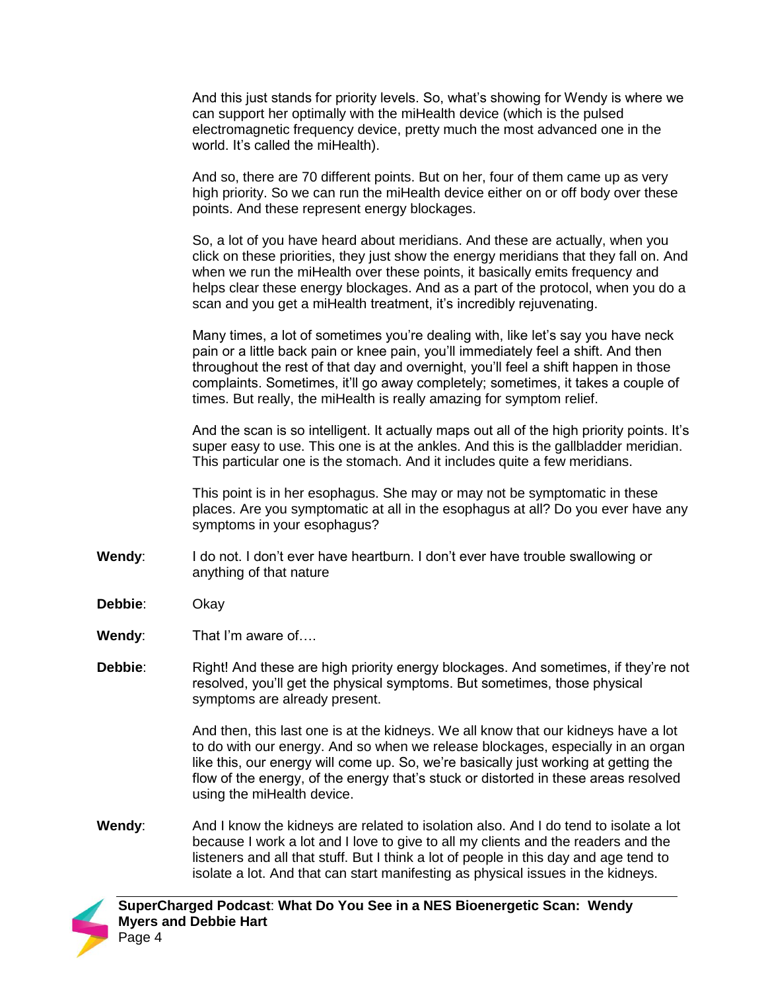And this just stands for priority levels. So, what's showing for Wendy is where we can support her optimally with the miHealth device (which is the pulsed electromagnetic frequency device, pretty much the most advanced one in the world. It's called the miHealth).

And so, there are 70 different points. But on her, four of them came up as very high priority. So we can run the miHealth device either on or off body over these points. And these represent energy blockages.

So, a lot of you have heard about meridians. And these are actually, when you click on these priorities, they just show the energy meridians that they fall on. And when we run the miHealth over these points, it basically emits frequency and helps clear these energy blockages. And as a part of the protocol, when you do a scan and you get a miHealth treatment, it's incredibly rejuvenating.

Many times, a lot of sometimes you're dealing with, like let's say you have neck pain or a little back pain or knee pain, you'll immediately feel a shift. And then throughout the rest of that day and overnight, you'll feel a shift happen in those complaints. Sometimes, it'll go away completely; sometimes, it takes a couple of times. But really, the miHealth is really amazing for symptom relief.

And the scan is so intelligent. It actually maps out all of the high priority points. It's super easy to use. This one is at the ankles. And this is the gallbladder meridian. This particular one is the stomach. And it includes quite a few meridians.

This point is in her esophagus. She may or may not be symptomatic in these places. Are you symptomatic at all in the esophagus at all? Do you ever have any symptoms in your esophagus?

- Wendy: I do not. I don't ever have heartburn. I don't ever have trouble swallowing or anything of that nature
- **Debbie**: Okay
- **Wendy**: That I'm aware of….
- **Debbie:** Right! And these are high priority energy blockages. And sometimes, if they're not resolved, you'll get the physical symptoms. But sometimes, those physical symptoms are already present.

And then, this last one is at the kidneys. We all know that our kidneys have a lot to do with our energy. And so when we release blockages, especially in an organ like this, our energy will come up. So, we're basically just working at getting the flow of the energy, of the energy that's stuck or distorted in these areas resolved using the miHealth device.

**Wendy**: And I know the kidneys are related to isolation also. And I do tend to isolate a lot because I work a lot and I love to give to all my clients and the readers and the listeners and all that stuff. But I think a lot of people in this day and age tend to isolate a lot. And that can start manifesting as physical issues in the kidneys.

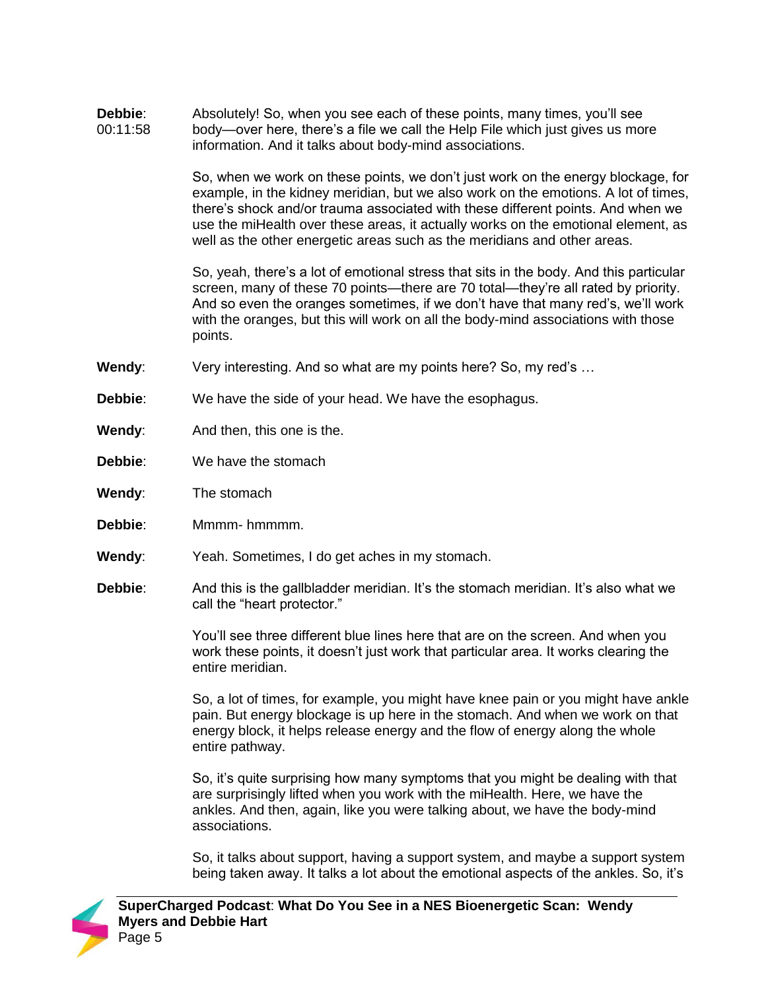**Debbie**: 00:11:58 Absolutely! So, when you see each of these points, many times, you'll see body—over here, there's a file we call the Help File which just gives us more information. And it talks about body-mind associations. So, when we work on these points, we don't just work on the energy blockage, for example, in the kidney meridian, but we also work on the emotions. A lot of times, there's shock and/or trauma associated with these different points. And when we use the miHealth over these areas, it actually works on the emotional element, as well as the other energetic areas such as the meridians and other areas. So, yeah, there's a lot of emotional stress that sits in the body. And this particular screen, many of these 70 points—there are 70 total—they're all rated by priority. And so even the oranges sometimes, if we don't have that many red's, we'll work with the oranges, but this will work on all the body-mind associations with those points. **Wendy:** Very interesting. And so what are my points here? So, my red's ... **Debbie**: We have the side of your head. We have the esophagus. **Wendy:** And then, this one is the. **Debbie:** We have the stomach **Wendy**: The stomach **Debbie**: Mmmm- hmmmm. **Wendy**: Yeah. Sometimes, I do get aches in my stomach. **Debbie**: And this is the gallbladder meridian. It's the stomach meridian. It's also what we call the "heart protector." You'll see three different blue lines here that are on the screen. And when you work these points, it doesn't just work that particular area. It works clearing the entire meridian.

So, a lot of times, for example, you might have knee pain or you might have ankle pain. But energy blockage is up here in the stomach. And when we work on that energy block, it helps release energy and the flow of energy along the whole entire pathway.

So, it's quite surprising how many symptoms that you might be dealing with that are surprisingly lifted when you work with the miHealth. Here, we have the ankles. And then, again, like you were talking about, we have the body-mind associations.

So, it talks about support, having a support system, and maybe a support system being taken away. It talks a lot about the emotional aspects of the ankles. So, it's

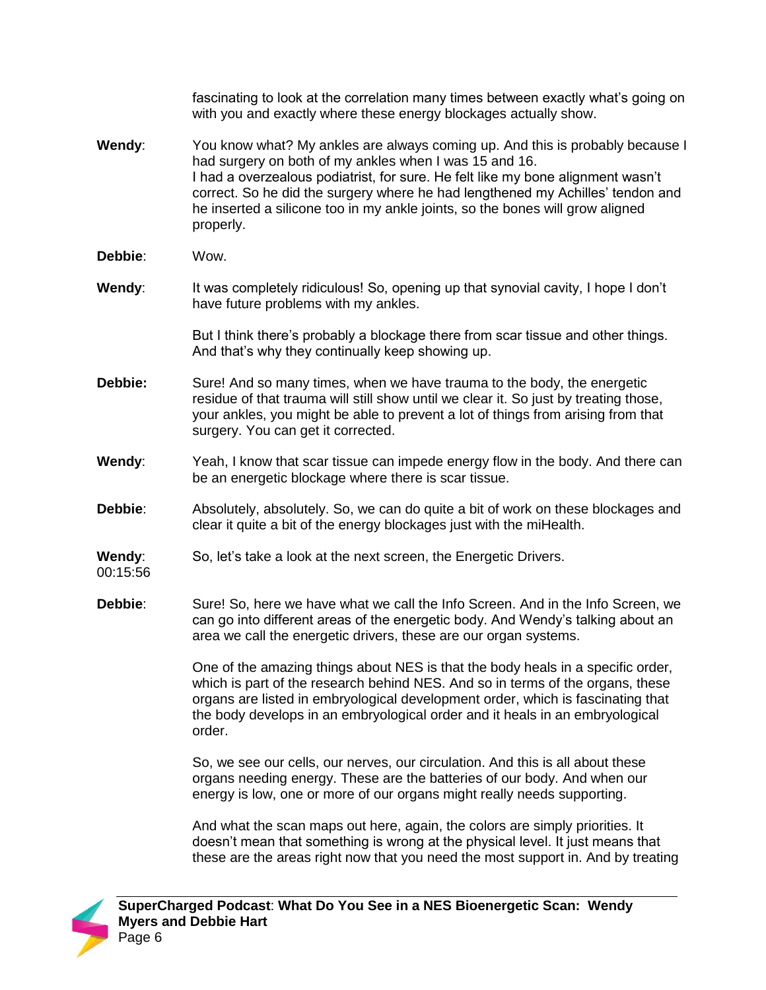|                    | fascinating to look at the correlation many times between exactly what's going on<br>with you and exactly where these energy blockages actually show.                                                                                                                                                                                                                                                      |
|--------------------|------------------------------------------------------------------------------------------------------------------------------------------------------------------------------------------------------------------------------------------------------------------------------------------------------------------------------------------------------------------------------------------------------------|
| Wendy:             | You know what? My ankles are always coming up. And this is probably because I<br>had surgery on both of my ankles when I was 15 and 16.<br>I had a overzealous podiatrist, for sure. He felt like my bone alignment wasn't<br>correct. So he did the surgery where he had lengthened my Achilles' tendon and<br>he inserted a silicone too in my ankle joints, so the bones will grow aligned<br>properly. |
| Debbie:            | Wow.                                                                                                                                                                                                                                                                                                                                                                                                       |
| Wendy:             | It was completely ridiculous! So, opening up that synovial cavity, I hope I don't<br>have future problems with my ankles.                                                                                                                                                                                                                                                                                  |
|                    | But I think there's probably a blockage there from scar tissue and other things.<br>And that's why they continually keep showing up.                                                                                                                                                                                                                                                                       |
| Debbie:            | Sure! And so many times, when we have trauma to the body, the energetic<br>residue of that trauma will still show until we clear it. So just by treating those,<br>your ankles, you might be able to prevent a lot of things from arising from that<br>surgery. You can get it corrected.                                                                                                                  |
| Wendy:             | Yeah, I know that scar tissue can impede energy flow in the body. And there can<br>be an energetic blockage where there is scar tissue.                                                                                                                                                                                                                                                                    |
| Debbie:            | Absolutely, absolutely. So, we can do quite a bit of work on these blockages and<br>clear it quite a bit of the energy blockages just with the miHealth.                                                                                                                                                                                                                                                   |
| Wendy:<br>00:15:56 | So, let's take a look at the next screen, the Energetic Drivers.                                                                                                                                                                                                                                                                                                                                           |
| Debbie:            | Sure! So, here we have what we call the Info Screen. And in the Info Screen, we<br>can go into different areas of the energetic body. And Wendy's talking about an<br>area we call the energetic drivers, these are our organ systems.                                                                                                                                                                     |
|                    | One of the amazing things about NES is that the body heals in a specific order,<br>which is part of the research behind NES. And so in terms of the organs, these<br>organs are listed in embryological development order, which is fascinating that                                                                                                                                                       |

So, we see our cells, our nerves, our circulation. And this is all about these organs needing energy. These are the batteries of our body. And when our energy is low, one or more of our organs might really needs supporting.

the body develops in an embryological order and it heals in an embryological

And what the scan maps out here, again, the colors are simply priorities. It doesn't mean that something is wrong at the physical level. It just means that these are the areas right now that you need the most support in. And by treating



order.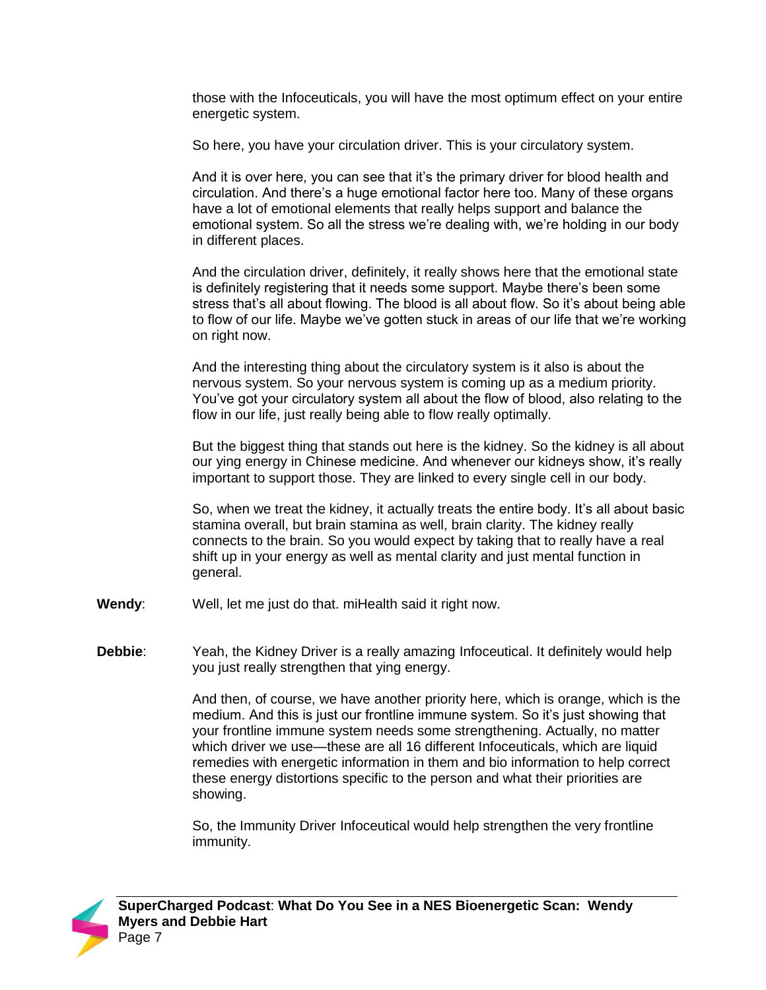those with the Infoceuticals, you will have the most optimum effect on your entire energetic system.

So here, you have your circulation driver. This is your circulatory system.

And it is over here, you can see that it's the primary driver for blood health and circulation. And there's a huge emotional factor here too. Many of these organs have a lot of emotional elements that really helps support and balance the emotional system. So all the stress we're dealing with, we're holding in our body in different places.

And the circulation driver, definitely, it really shows here that the emotional state is definitely registering that it needs some support. Maybe there's been some stress that's all about flowing. The blood is all about flow. So it's about being able to flow of our life. Maybe we've gotten stuck in areas of our life that we're working on right now.

And the interesting thing about the circulatory system is it also is about the nervous system. So your nervous system is coming up as a medium priority. You've got your circulatory system all about the flow of blood, also relating to the flow in our life, just really being able to flow really optimally.

But the biggest thing that stands out here is the kidney. So the kidney is all about our ying energy in Chinese medicine. And whenever our kidneys show, it's really important to support those. They are linked to every single cell in our body.

So, when we treat the kidney, it actually treats the entire body. It's all about basic stamina overall, but brain stamina as well, brain clarity. The kidney really connects to the brain. So you would expect by taking that to really have a real shift up in your energy as well as mental clarity and just mental function in general.

- **Wendy**: Well, let me just do that. miHealth said it right now.
- **Debbie**: Yeah, the Kidney Driver is a really amazing Infoceutical. It definitely would help you just really strengthen that ying energy.

And then, of course, we have another priority here, which is orange, which is the medium. And this is just our frontline immune system. So it's just showing that your frontline immune system needs some strengthening. Actually, no matter which driver we use—these are all 16 different Infoceuticals, which are liquid remedies with energetic information in them and bio information to help correct these energy distortions specific to the person and what their priorities are showing.

So, the Immunity Driver Infoceutical would help strengthen the very frontline immunity.

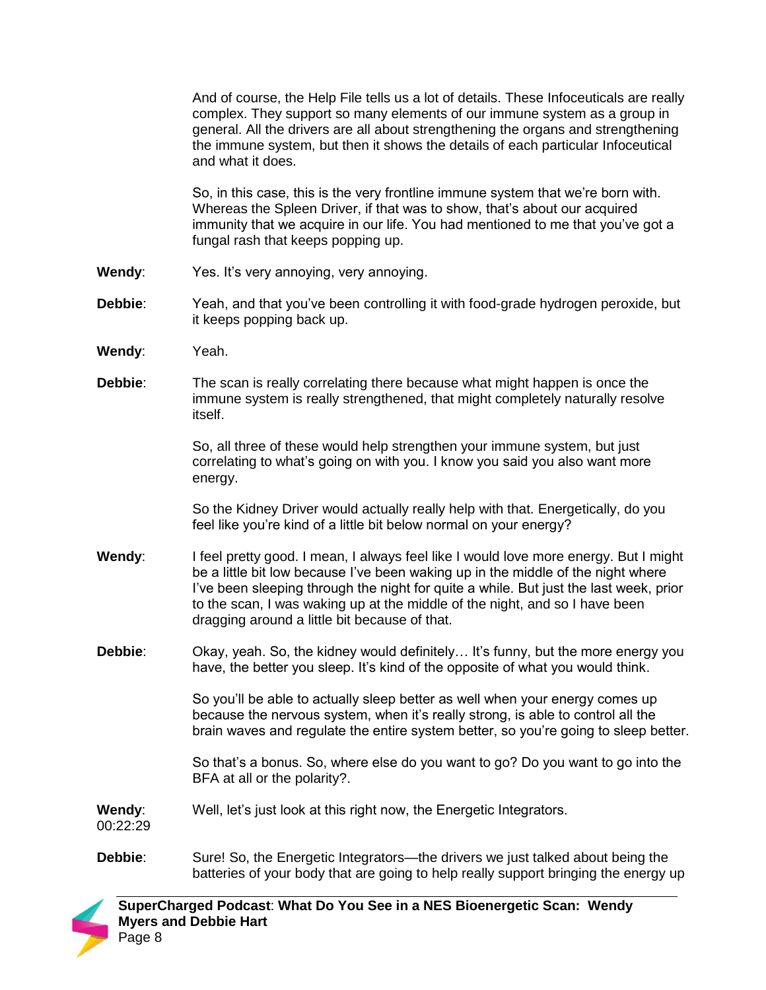And of course, the Help File tells us a lot of details. These Infoceuticals are really complex. They support so many elements of our immune system as a group in general. All the drivers are all about strengthening the organs and strengthening the immune system, but then it shows the details of each particular Infoceutical and what it does.

So, in this case, this is the very frontline immune system that we're born with. Whereas the Spleen Driver, if that was to show, that's about our acquired immunity that we acquire in our life. You had mentioned to me that you've got a fungal rash that keeps popping up.

- Wendy: Yes. It's very annoying, very annoying.
- **Debbie**: Yeah, and that you've been controlling it with food-grade hydrogen peroxide, but it keeps popping back up.
- **Wendy**: Yeah.
- **Debbie**: The scan is really correlating there because what might happen is once the immune system is really strengthened, that might completely naturally resolve itself.

So, all three of these would help strengthen your immune system, but just correlating to what's going on with you. I know you said you also want more energy.

So the Kidney Driver would actually really help with that. Energetically, do you feel like you're kind of a little bit below normal on your energy?

- **Wendy**: I feel pretty good. I mean, I always feel like I would love more energy. But I might be a little bit low because I've been waking up in the middle of the night where I've been sleeping through the night for quite a while. But just the last week, prior to the scan, I was waking up at the middle of the night, and so I have been dragging around a little bit because of that.
- **Debbie:** Okay, yeah. So, the kidney would definitely... It's funny, but the more energy you have, the better you sleep. It's kind of the opposite of what you would think.

So you'll be able to actually sleep better as well when your energy comes up because the nervous system, when it's really strong, is able to control all the brain waves and regulate the entire system better, so you're going to sleep better.

So that's a bonus. So, where else do you want to go? Do you want to go into the BFA at all or the polarity?.

**Wendy**: Well, let's just look at this right now, the Energetic Integrators.

00:22:29

**Debbie**: Sure! So, the Energetic Integrators—the drivers we just talked about being the batteries of your body that are going to help really support bringing the energy up

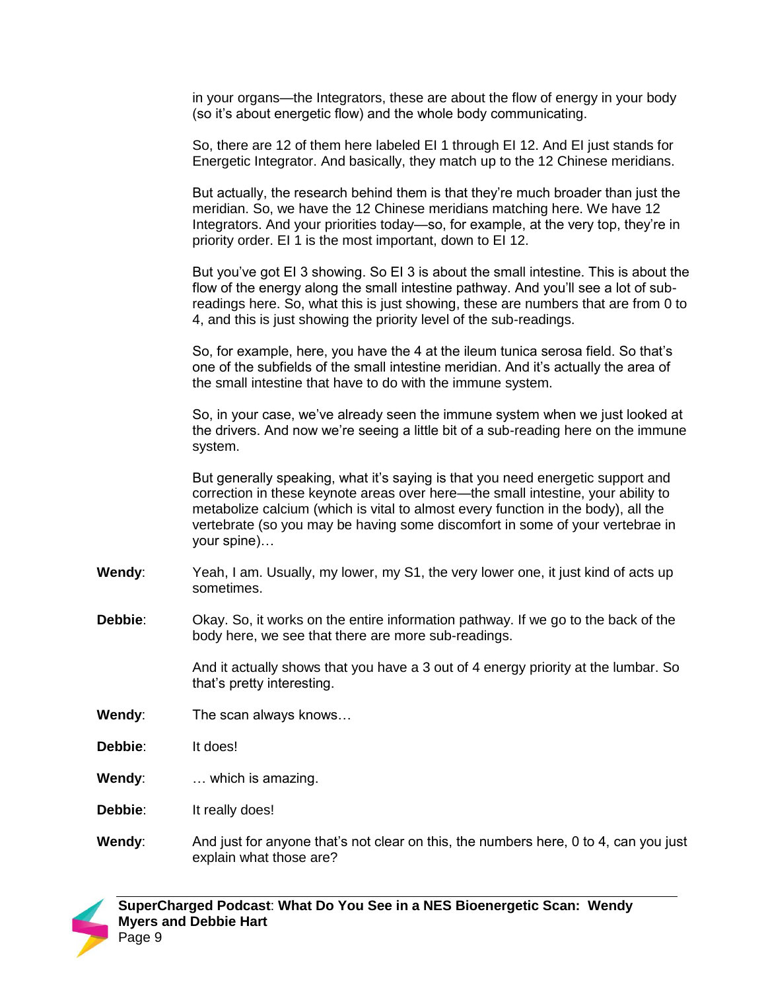in your organs—the Integrators, these are about the flow of energy in your body (so it's about energetic flow) and the whole body communicating.

So, there are 12 of them here labeled EI 1 through EI 12. And EI just stands for Energetic Integrator. And basically, they match up to the 12 Chinese meridians.

But actually, the research behind them is that they're much broader than just the meridian. So, we have the 12 Chinese meridians matching here. We have 12 Integrators. And your priorities today—so, for example, at the very top, they're in priority order. EI 1 is the most important, down to EI 12.

But you've got EI 3 showing. So EI 3 is about the small intestine. This is about the flow of the energy along the small intestine pathway. And you'll see a lot of subreadings here. So, what this is just showing, these are numbers that are from 0 to 4, and this is just showing the priority level of the sub-readings.

So, for example, here, you have the 4 at the ileum tunica serosa field. So that's one of the subfields of the small intestine meridian. And it's actually the area of the small intestine that have to do with the immune system.

So, in your case, we've already seen the immune system when we just looked at the drivers. And now we're seeing a little bit of a sub-reading here on the immune system.

But generally speaking, what it's saying is that you need energetic support and correction in these keynote areas over here—the small intestine, your ability to metabolize calcium (which is vital to almost every function in the body), all the vertebrate (so you may be having some discomfort in some of your vertebrae in your spine)…

- **Wendy**: Yeah, I am. Usually, my lower, my S1, the very lower one, it just kind of acts up sometimes.
- **Debbie**: Okay. So, it works on the entire information pathway. If we go to the back of the body here, we see that there are more sub-readings.

And it actually shows that you have a 3 out of 4 energy priority at the lumbar. So that's pretty interesting.

- **Wendy**: The scan always knows…
- **Debbie**: It does!
- **Wendy**: … which is amazing.
- **Debbie**: It really does!
- **Wendy**: And just for anyone that's not clear on this, the numbers here, 0 to 4, can you just explain what those are?

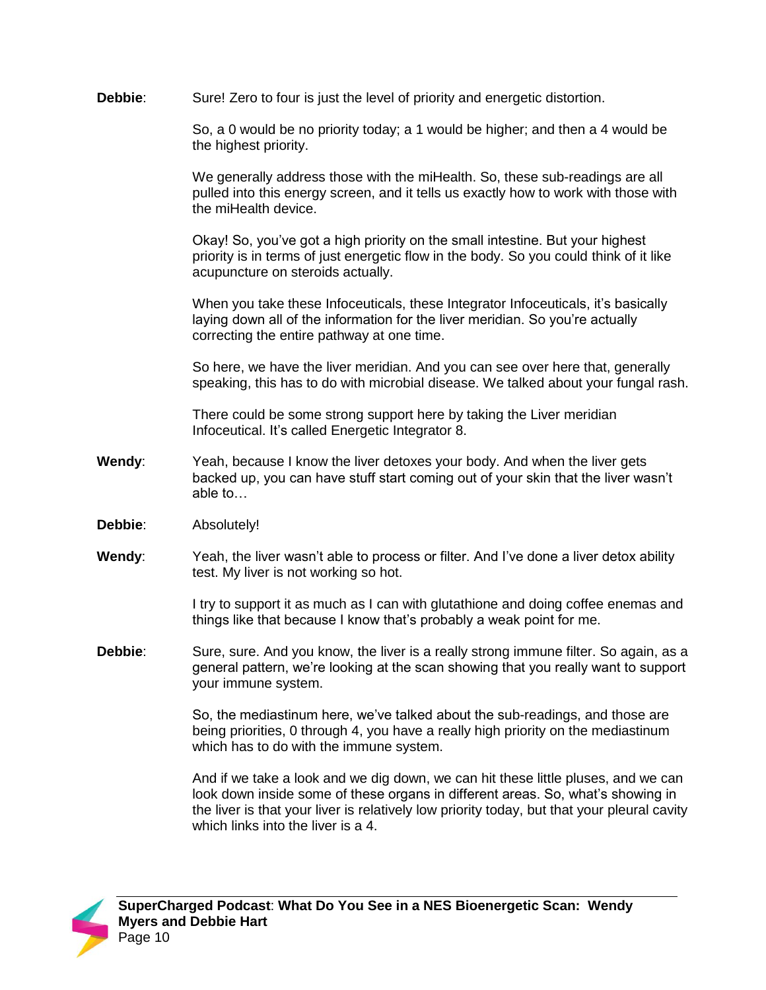**Debbie**: Sure! Zero to four is just the level of priority and energetic distortion.

So, a 0 would be no priority today; a 1 would be higher; and then a 4 would be the highest priority.

We generally address those with the miHealth. So, these sub-readings are all pulled into this energy screen, and it tells us exactly how to work with those with the miHealth device.

Okay! So, you've got a high priority on the small intestine. But your highest priority is in terms of just energetic flow in the body. So you could think of it like acupuncture on steroids actually.

When you take these Infoceuticals, these Integrator Infoceuticals, it's basically laying down all of the information for the liver meridian. So you're actually correcting the entire pathway at one time.

So here, we have the liver meridian. And you can see over here that, generally speaking, this has to do with microbial disease. We talked about your fungal rash.

There could be some strong support here by taking the Liver meridian Infoceutical. It's called Energetic Integrator 8.

- **Wendy**: Yeah, because I know the liver detoxes your body. And when the liver gets backed up, you can have stuff start coming out of your skin that the liver wasn't able to…
- **Debbie**: Absolutely!
- **Wendy**: Yeah, the liver wasn't able to process or filter. And I've done a liver detox ability test. My liver is not working so hot.

I try to support it as much as I can with glutathione and doing coffee enemas and things like that because I know that's probably a weak point for me.

**Debbie:** Sure, sure. And you know, the liver is a really strong immune filter. So again, as a general pattern, we're looking at the scan showing that you really want to support your immune system.

> So, the mediastinum here, we've talked about the sub-readings, and those are being priorities, 0 through 4, you have a really high priority on the mediastinum which has to do with the immune system.

And if we take a look and we dig down, we can hit these little pluses, and we can look down inside some of these organs in different areas. So, what's showing in the liver is that your liver is relatively low priority today, but that your pleural cavity which links into the liver is a 4.

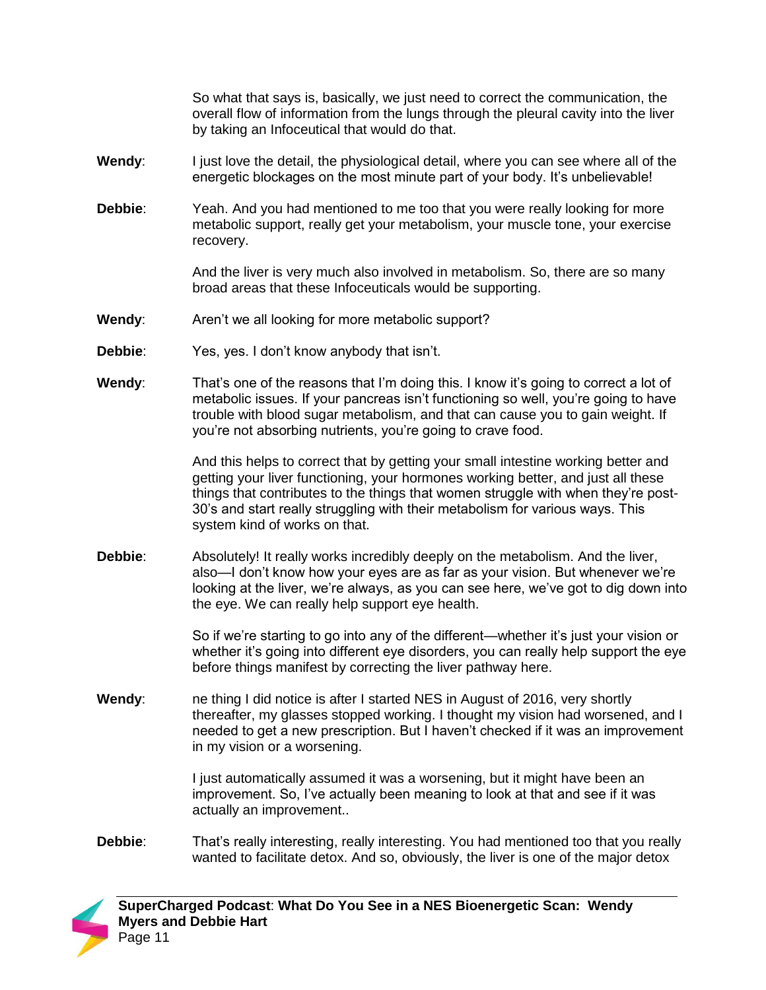So what that says is, basically, we just need to correct the communication, the overall flow of information from the lungs through the pleural cavity into the liver by taking an Infoceutical that would do that.

- **Wendy:** I just love the detail, the physiological detail, where you can see where all of the energetic blockages on the most minute part of your body. It's unbelievable!
- **Debbie**: Yeah. And you had mentioned to me too that you were really looking for more metabolic support, really get your metabolism, your muscle tone, your exercise recovery.

And the liver is very much also involved in metabolism. So, there are so many broad areas that these Infoceuticals would be supporting.

- **Wendy:** Aren't we all looking for more metabolic support?
- **Debbie:** Yes, yes. I don't know anybody that isn't.
- **Wendy**: That's one of the reasons that I'm doing this. I know it's going to correct a lot of metabolic issues. If your pancreas isn't functioning so well, you're going to have trouble with blood sugar metabolism, and that can cause you to gain weight. If you're not absorbing nutrients, you're going to crave food.

And this helps to correct that by getting your small intestine working better and getting your liver functioning, your hormones working better, and just all these things that contributes to the things that women struggle with when they're post-30's and start really struggling with their metabolism for various ways. This system kind of works on that.

**Debbie**: Absolutely! It really works incredibly deeply on the metabolism. And the liver, also—I don't know how your eyes are as far as your vision. But whenever we're looking at the liver, we're always, as you can see here, we've got to dig down into the eye. We can really help support eye health.

> So if we're starting to go into any of the different—whether it's just your vision or whether it's going into different eye disorders, you can really help support the eye before things manifest by correcting the liver pathway here.

**Wendy:** ne thing I did notice is after I started NES in August of 2016, very shortly thereafter, my glasses stopped working. I thought my vision had worsened, and I needed to get a new prescription. But I haven't checked if it was an improvement in my vision or a worsening.

> I just automatically assumed it was a worsening, but it might have been an improvement. So, I've actually been meaning to look at that and see if it was actually an improvement..

**Debbie:** That's really interesting, really interesting. You had mentioned too that you really wanted to facilitate detox. And so, obviously, the liver is one of the major detox

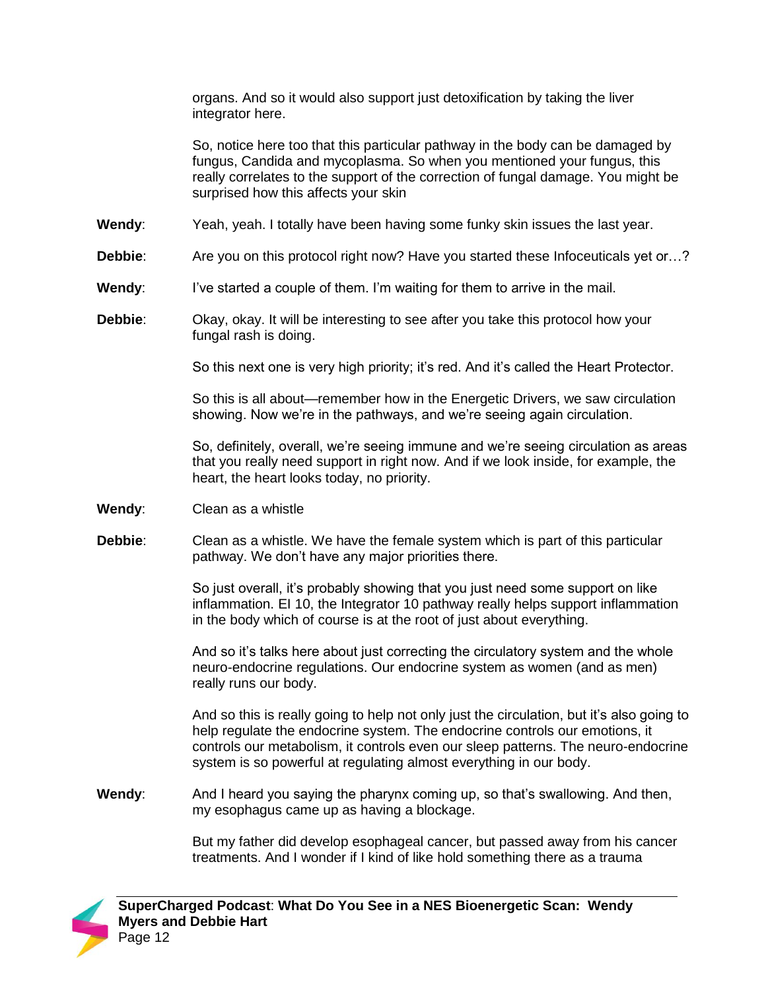organs. And so it would also support just detoxification by taking the liver integrator here.

So, notice here too that this particular pathway in the body can be damaged by fungus, Candida and mycoplasma. So when you mentioned your fungus, this really correlates to the support of the correction of fungal damage. You might be surprised how this affects your skin

- **Wendy**: Yeah, yeah. I totally have been having some funky skin issues the last year.
- **Debbie:** Are you on this protocol right now? Have you started these Infoceuticals yet or…?
- **Wendy:** I've started a couple of them. I'm waiting for them to arrive in the mail.
- **Debbie**: Okay, okay. It will be interesting to see after you take this protocol how your fungal rash is doing.

So this next one is very high priority; it's red. And it's called the Heart Protector.

So this is all about—remember how in the Energetic Drivers, we saw circulation showing. Now we're in the pathways, and we're seeing again circulation.

So, definitely, overall, we're seeing immune and we're seeing circulation as areas that you really need support in right now. And if we look inside, for example, the heart, the heart looks today, no priority.

- **Wendy**: Clean as a whistle
- **Debbie**: Clean as a whistle. We have the female system which is part of this particular pathway. We don't have any major priorities there.

So just overall, it's probably showing that you just need some support on like inflammation. EI 10, the Integrator 10 pathway really helps support inflammation in the body which of course is at the root of just about everything.

And so it's talks here about just correcting the circulatory system and the whole neuro-endocrine regulations. Our endocrine system as women (and as men) really runs our body.

And so this is really going to help not only just the circulation, but it's also going to help regulate the endocrine system. The endocrine controls our emotions, it controls our metabolism, it controls even our sleep patterns. The neuro-endocrine system is so powerful at regulating almost everything in our body.

**Wendy**: And I heard you saying the pharynx coming up, so that's swallowing. And then, my esophagus came up as having a blockage.

> But my father did develop esophageal cancer, but passed away from his cancer treatments. And I wonder if I kind of like hold something there as a trauma

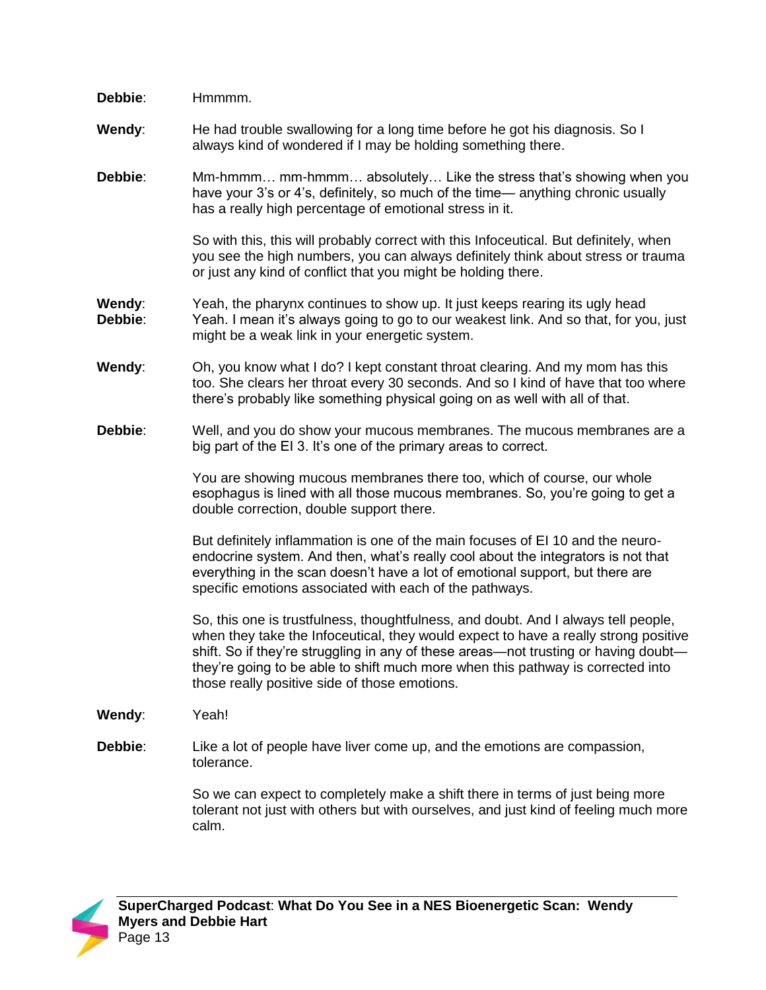| Debbie:           | Hmmmm.                                                                                                                                                                                                                                                                                                                                                                                               |
|-------------------|------------------------------------------------------------------------------------------------------------------------------------------------------------------------------------------------------------------------------------------------------------------------------------------------------------------------------------------------------------------------------------------------------|
| Wendy:            | He had trouble swallowing for a long time before he got his diagnosis. So I<br>always kind of wondered if I may be holding something there.                                                                                                                                                                                                                                                          |
| Debbie:           | Mm-hmmm mm-hmmm absolutely Like the stress that's showing when you<br>have your 3's or 4's, definitely, so much of the time— anything chronic usually<br>has a really high percentage of emotional stress in it.                                                                                                                                                                                     |
|                   | So with this, this will probably correct with this Infoceutical. But definitely, when<br>you see the high numbers, you can always definitely think about stress or trauma<br>or just any kind of conflict that you might be holding there.                                                                                                                                                           |
| Wendy:<br>Debbie: | Yeah, the pharynx continues to show up. It just keeps rearing its ugly head<br>Yeah. I mean it's always going to go to our weakest link. And so that, for you, just<br>might be a weak link in your energetic system.                                                                                                                                                                                |
| Wendy:            | Oh, you know what I do? I kept constant throat clearing. And my mom has this<br>too. She clears her throat every 30 seconds. And so I kind of have that too where<br>there's probably like something physical going on as well with all of that.                                                                                                                                                     |
| Debbie:           | Well, and you do show your mucous membranes. The mucous membranes are a<br>big part of the EI 3. It's one of the primary areas to correct.                                                                                                                                                                                                                                                           |
|                   | You are showing mucous membranes there too, which of course, our whole<br>esophagus is lined with all those mucous membranes. So, you're going to get a<br>double correction, double support there.                                                                                                                                                                                                  |
|                   | But definitely inflammation is one of the main focuses of EI 10 and the neuro-<br>endocrine system. And then, what's really cool about the integrators is not that<br>everything in the scan doesn't have a lot of emotional support, but there are<br>specific emotions associated with each of the pathways.                                                                                       |
|                   | So, this one is trustfulness, thoughtfulness, and doubt. And I always tell people,<br>when they take the Infoceutical, they would expect to have a really strong positive<br>shift. So if they're struggling in any of these areas-not trusting or having doubt-<br>they're going to be able to shift much more when this pathway is corrected into<br>those really positive side of those emotions. |
| Wendy:            | Yeah!                                                                                                                                                                                                                                                                                                                                                                                                |
| Debbie:           | Like a lot of people have liver come up, and the emotions are compassion,<br>tolerance.                                                                                                                                                                                                                                                                                                              |
|                   | So we can expect to completely make a shift there in terms of just being more<br>tolerant not just with others but with ourselves, and just kind of feeling much more<br>calm.                                                                                                                                                                                                                       |

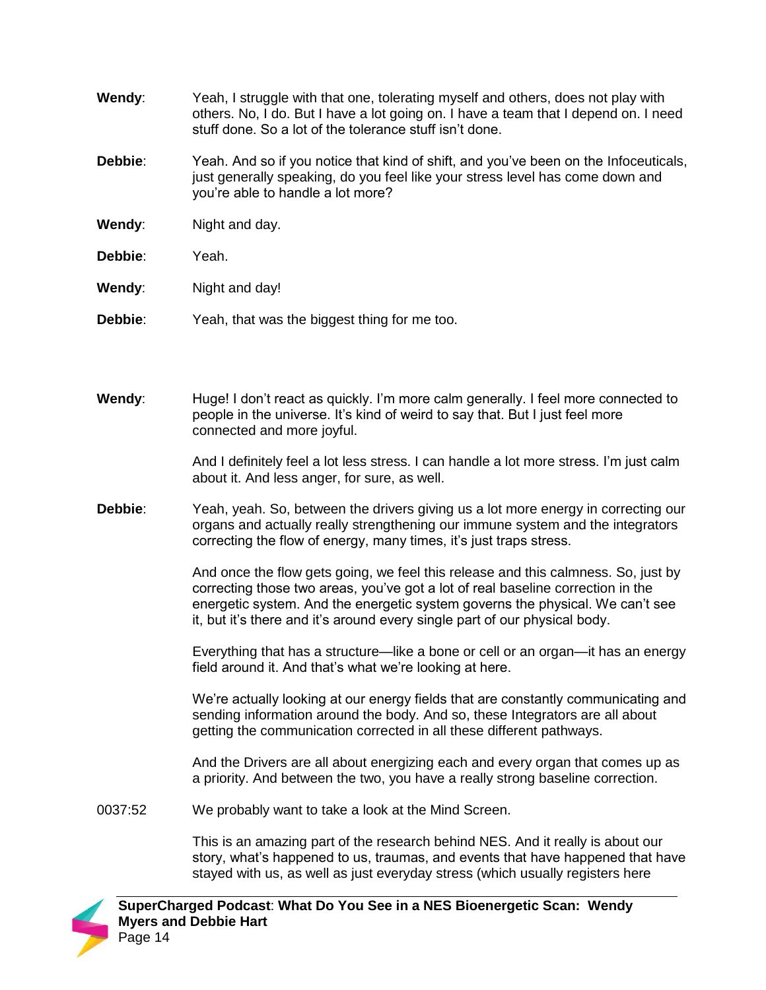- **Wendy**: Yeah, I struggle with that one, tolerating myself and others, does not play with others. No, I do. But I have a lot going on. I have a team that I depend on. I need stuff done. So a lot of the tolerance stuff isn't done.
- **Debbie:** Yeah. And so if you notice that kind of shift, and you've been on the Infoceuticals, just generally speaking, do you feel like your stress level has come down and you're able to handle a lot more?
- **Wendy:** Night and day.
- **Debbie**: Yeah.
- **Wendy:** Night and day!
- **Debbie:** Yeah, that was the biggest thing for me too.
- **Wendy**: Huge! I don't react as quickly. I'm more calm generally. I feel more connected to people in the universe. It's kind of weird to say that. But I just feel more connected and more joyful.

And I definitely feel a lot less stress. I can handle a lot more stress. I'm just calm about it. And less anger, for sure, as well.

**Debbie**: Yeah, yeah. So, between the drivers giving us a lot more energy in correcting our organs and actually really strengthening our immune system and the integrators correcting the flow of energy, many times, it's just traps stress.

> And once the flow gets going, we feel this release and this calmness. So, just by correcting those two areas, you've got a lot of real baseline correction in the energetic system. And the energetic system governs the physical. We can't see it, but it's there and it's around every single part of our physical body.

> Everything that has a structure—like a bone or cell or an organ—it has an energy field around it. And that's what we're looking at here.

> We're actually looking at our energy fields that are constantly communicating and sending information around the body. And so, these Integrators are all about getting the communication corrected in all these different pathways.

And the Drivers are all about energizing each and every organ that comes up as a priority. And between the two, you have a really strong baseline correction.

0037:52 We probably want to take a look at the Mind Screen.

> This is an amazing part of the research behind NES. And it really is about our story, what's happened to us, traumas, and events that have happened that have stayed with us, as well as just everyday stress (which usually registers here

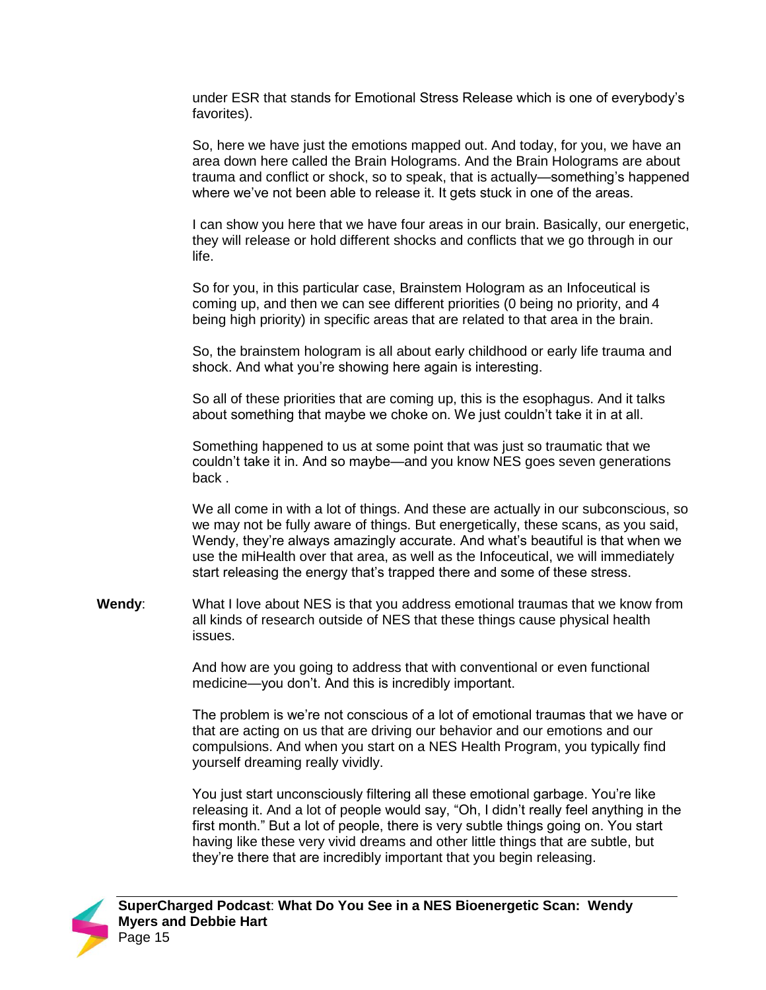under ESR that stands for Emotional Stress Release which is one of everybody's favorites).

So, here we have just the emotions mapped out. And today, for you, we have an area down here called the Brain Holograms. And the Brain Holograms are about trauma and conflict or shock, so to speak, that is actually—something's happened where we've not been able to release it. It gets stuck in one of the areas.

I can show you here that we have four areas in our brain. Basically, our energetic, they will release or hold different shocks and conflicts that we go through in our life.

So for you, in this particular case, Brainstem Hologram as an Infoceutical is coming up, and then we can see different priorities (0 being no priority, and 4 being high priority) in specific areas that are related to that area in the brain.

So, the brainstem hologram is all about early childhood or early life trauma and shock. And what you're showing here again is interesting.

So all of these priorities that are coming up, this is the esophagus. And it talks about something that maybe we choke on. We just couldn't take it in at all.

Something happened to us at some point that was just so traumatic that we couldn't take it in. And so maybe—and you know NES goes seven generations back .

We all come in with a lot of things. And these are actually in our subconscious, so we may not be fully aware of things. But energetically, these scans, as you said, Wendy, they're always amazingly accurate. And what's beautiful is that when we use the miHealth over that area, as well as the Infoceutical, we will immediately start releasing the energy that's trapped there and some of these stress.

**Wendy**: What I love about NES is that you address emotional traumas that we know from all kinds of research outside of NES that these things cause physical health issues.

> And how are you going to address that with conventional or even functional medicine—you don't. And this is incredibly important.

The problem is we're not conscious of a lot of emotional traumas that we have or that are acting on us that are driving our behavior and our emotions and our compulsions. And when you start on a NES Health Program, you typically find yourself dreaming really vividly.

You just start unconsciously filtering all these emotional garbage. You're like releasing it. And a lot of people would say, "Oh, I didn't really feel anything in the first month." But a lot of people, there is very subtle things going on. You start having like these very vivid dreams and other little things that are subtle, but they're there that are incredibly important that you begin releasing.

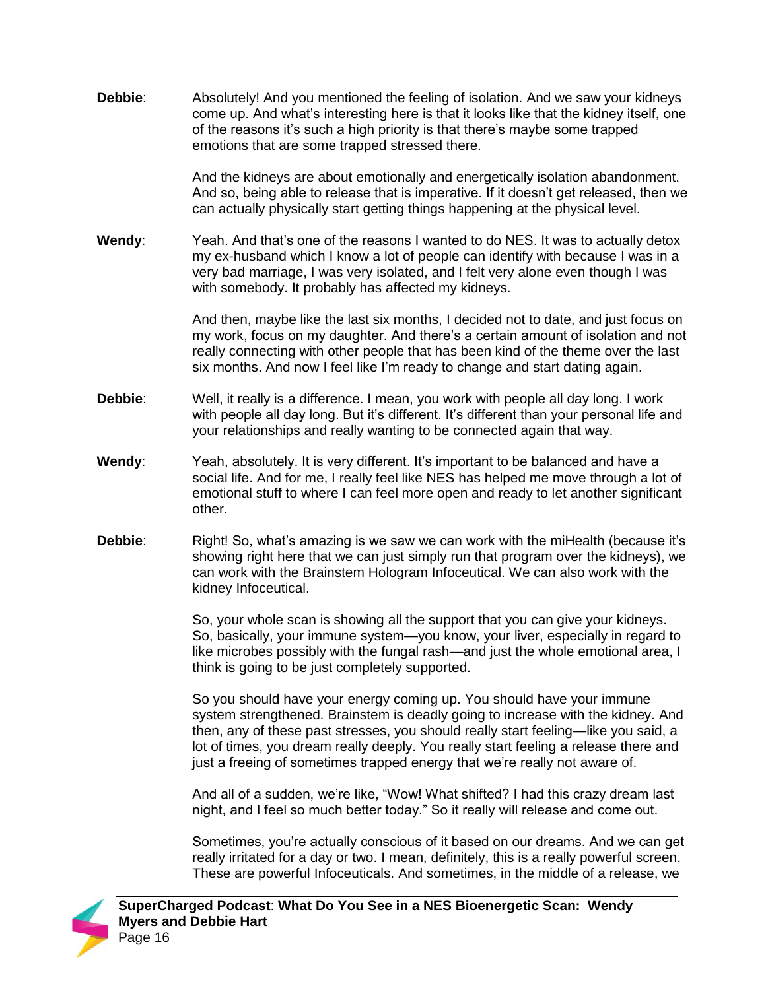**Debbie**: Absolutely! And you mentioned the feeling of isolation. And we saw your kidneys come up. And what's interesting here is that it looks like that the kidney itself, one of the reasons it's such a high priority is that there's maybe some trapped emotions that are some trapped stressed there.

> And the kidneys are about emotionally and energetically isolation abandonment. And so, being able to release that is imperative. If it doesn't get released, then we can actually physically start getting things happening at the physical level.

**Wendy**: Yeah. And that's one of the reasons I wanted to do NES. It was to actually detox my ex-husband which I know a lot of people can identify with because I was in a very bad marriage, I was very isolated, and I felt very alone even though I was with somebody. It probably has affected my kidneys.

> And then, maybe like the last six months, I decided not to date, and just focus on my work, focus on my daughter. And there's a certain amount of isolation and not really connecting with other people that has been kind of the theme over the last six months. And now I feel like I'm ready to change and start dating again.

- **Debbie**: Well, it really is a difference. I mean, you work with people all day long. I work with people all day long. But it's different. It's different than your personal life and your relationships and really wanting to be connected again that way.
- **Wendy**: Yeah, absolutely. It is very different. It's important to be balanced and have a social life. And for me, I really feel like NES has helped me move through a lot of emotional stuff to where I can feel more open and ready to let another significant other.
- **Debbie:** Right! So, what's amazing is we saw we can work with the miHealth (because it's showing right here that we can just simply run that program over the kidneys), we can work with the Brainstem Hologram Infoceutical. We can also work with the kidney Infoceutical.

So, your whole scan is showing all the support that you can give your kidneys. So, basically, your immune system—you know, your liver, especially in regard to like microbes possibly with the fungal rash—and just the whole emotional area, I think is going to be just completely supported.

So you should have your energy coming up. You should have your immune system strengthened. Brainstem is deadly going to increase with the kidney. And then, any of these past stresses, you should really start feeling—like you said, a lot of times, you dream really deeply. You really start feeling a release there and just a freeing of sometimes trapped energy that we're really not aware of.

And all of a sudden, we're like, "Wow! What shifted? I had this crazy dream last night, and I feel so much better today." So it really will release and come out.

Sometimes, you're actually conscious of it based on our dreams. And we can get really irritated for a day or two. I mean, definitely, this is a really powerful screen. These are powerful Infoceuticals. And sometimes, in the middle of a release, we

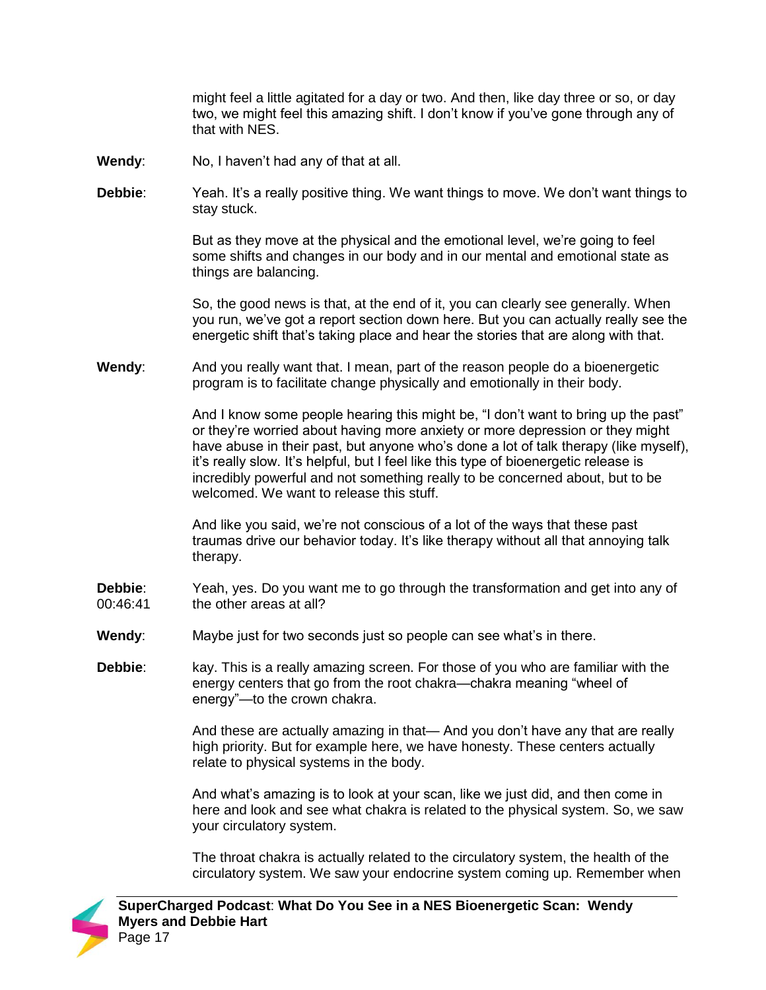might feel a little agitated for a day or two. And then, like day three or so, or day two, we might feel this amazing shift. I don't know if you've gone through any of that with NES.

- **Wendy**: No, I haven't had any of that at all.
- **Debbie**: Yeah. It's a really positive thing. We want things to move. We don't want things to stay stuck.

But as they move at the physical and the emotional level, we're going to feel some shifts and changes in our body and in our mental and emotional state as things are balancing.

So, the good news is that, at the end of it, you can clearly see generally. When you run, we've got a report section down here. But you can actually really see the energetic shift that's taking place and hear the stories that are along with that.

**Wendy**: And you really want that. I mean, part of the reason people do a bioenergetic program is to facilitate change physically and emotionally in their body.

> And I know some people hearing this might be, "I don't want to bring up the past" or they're worried about having more anxiety or more depression or they might have abuse in their past, but anyone who's done a lot of talk therapy (like myself), it's really slow. It's helpful, but I feel like this type of bioenergetic release is incredibly powerful and not something really to be concerned about, but to be welcomed. We want to release this stuff.

And like you said, we're not conscious of a lot of the ways that these past traumas drive our behavior today. It's like therapy without all that annoying talk therapy.

- **Debbie**: 00:46:41 Yeah, yes. Do you want me to go through the transformation and get into any of the other areas at all?
- **Wendy**: Maybe just for two seconds just so people can see what's in there.
- **Debbie**: kay. This is a really amazing screen. For those of you who are familiar with the energy centers that go from the root chakra—chakra meaning "wheel of energy"—to the crown chakra.

And these are actually amazing in that— And you don't have any that are really high priority. But for example here, we have honesty. These centers actually relate to physical systems in the body.

And what's amazing is to look at your scan, like we just did, and then come in here and look and see what chakra is related to the physical system. So, we saw your circulatory system.

The throat chakra is actually related to the circulatory system, the health of the circulatory system. We saw your endocrine system coming up. Remember when

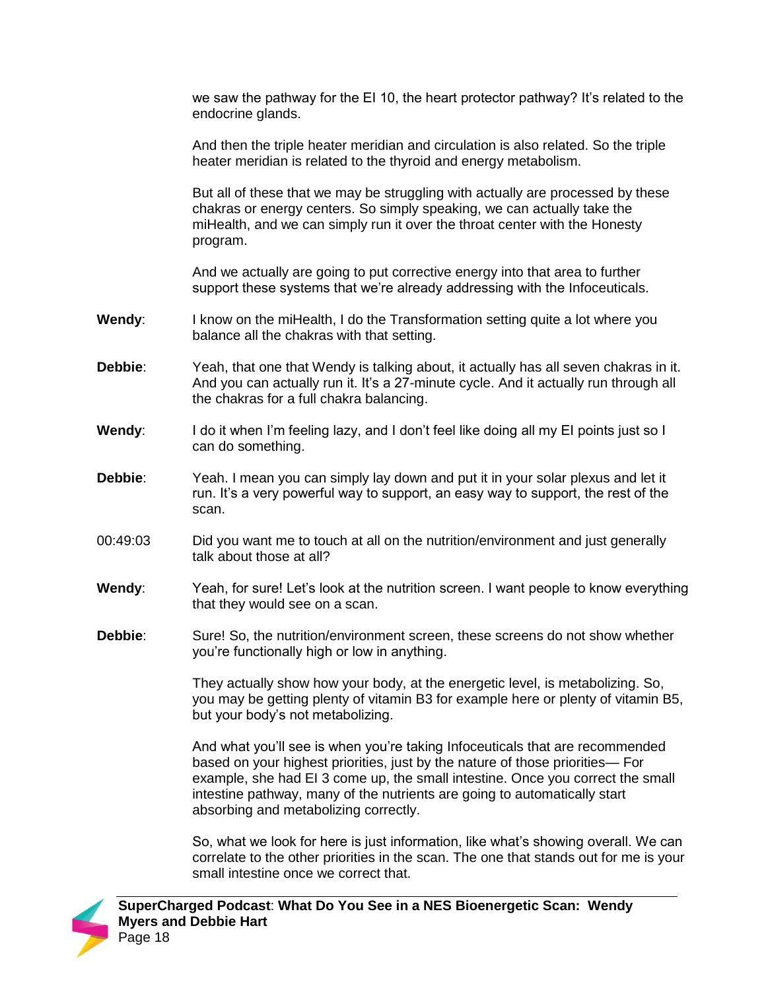we saw the pathway for the EI 10, the heart protector pathway? It's related to the endocrine glands.

And then the triple heater meridian and circulation is also related. So the triple heater meridian is related to the thyroid and energy metabolism.

But all of these that we may be struggling with actually are processed by these chakras or energy centers. So simply speaking, we can actually take the miHealth, and we can simply run it over the throat center with the Honesty program.

And we actually are going to put corrective energy into that area to further support these systems that we're already addressing with the Infoceuticals.

- **Wendy:** I know on the miHealth, I do the Transformation setting quite a lot where you balance all the chakras with that setting.
- **Debbie**: Yeah, that one that Wendy is talking about, it actually has all seven chakras in it. And you can actually run it. It's a 27-minute cycle. And it actually run through all the chakras for a full chakra balancing.
- **Wendy**: I do it when I'm feeling lazy, and I don't feel like doing all my EI points just so I can do something.
- **Debbie**: Yeah. I mean you can simply lay down and put it in your solar plexus and let it run. It's a very powerful way to support, an easy way to support, the rest of the scan.
- 00:49:03 Did you want me to touch at all on the nutrition/environment and just generally talk about those at all?
- **Wendy:** Yeah, for sure! Let's look at the nutrition screen. I want people to know everything that they would see on a scan.
- **Debbie:** Sure! So, the nutrition/environment screen, these screens do not show whether you're functionally high or low in anything.

They actually show how your body, at the energetic level, is metabolizing. So, you may be getting plenty of vitamin B3 for example here or plenty of vitamin B5, but your body's not metabolizing.

And what you'll see is when you're taking Infoceuticals that are recommended based on your highest priorities, just by the nature of those priorities— For example, she had EI 3 come up, the small intestine. Once you correct the small intestine pathway, many of the nutrients are going to automatically start absorbing and metabolizing correctly.

So, what we look for here is just information, like what's showing overall. We can correlate to the other priorities in the scan. The one that stands out for me is your small intestine once we correct that.

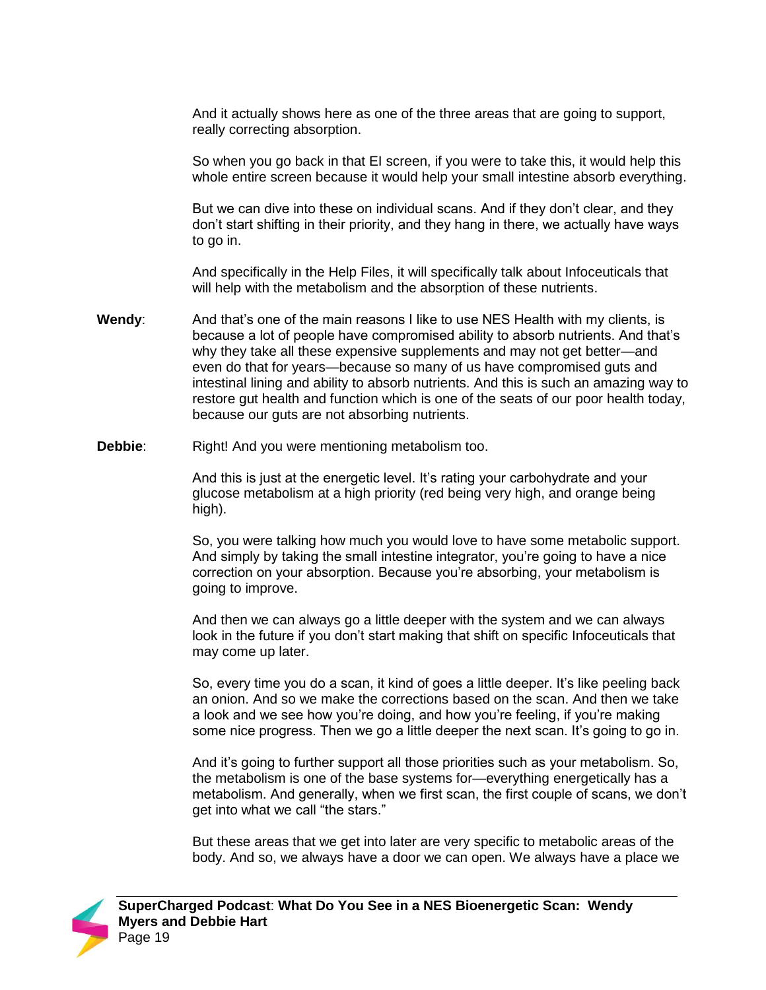And it actually shows here as one of the three areas that are going to support, really correcting absorption.

So when you go back in that EI screen, if you were to take this, it would help this whole entire screen because it would help your small intestine absorb everything.

But we can dive into these on individual scans. And if they don't clear, and they don't start shifting in their priority, and they hang in there, we actually have ways to go in.

And specifically in the Help Files, it will specifically talk about Infoceuticals that will help with the metabolism and the absorption of these nutrients.

- **Wendy**: And that's one of the main reasons I like to use NES Health with my clients, is because a lot of people have compromised ability to absorb nutrients. And that's why they take all these expensive supplements and may not get better—and even do that for years—because so many of us have compromised guts and intestinal lining and ability to absorb nutrients. And this is such an amazing way to restore gut health and function which is one of the seats of our poor health today, because our guts are not absorbing nutrients.
- **Debbie:** Right! And you were mentioning metabolism too.

And this is just at the energetic level. It's rating your carbohydrate and your glucose metabolism at a high priority (red being very high, and orange being high).

So, you were talking how much you would love to have some metabolic support. And simply by taking the small intestine integrator, you're going to have a nice correction on your absorption. Because you're absorbing, your metabolism is going to improve.

And then we can always go a little deeper with the system and we can always look in the future if you don't start making that shift on specific Infoceuticals that may come up later.

So, every time you do a scan, it kind of goes a little deeper. It's like peeling back an onion. And so we make the corrections based on the scan. And then we take a look and we see how you're doing, and how you're feeling, if you're making some nice progress. Then we go a little deeper the next scan. It's going to go in.

And it's going to further support all those priorities such as your metabolism. So, the metabolism is one of the base systems for—everything energetically has a metabolism. And generally, when we first scan, the first couple of scans, we don't get into what we call "the stars."

But these areas that we get into later are very specific to metabolic areas of the body. And so, we always have a door we can open. We always have a place we

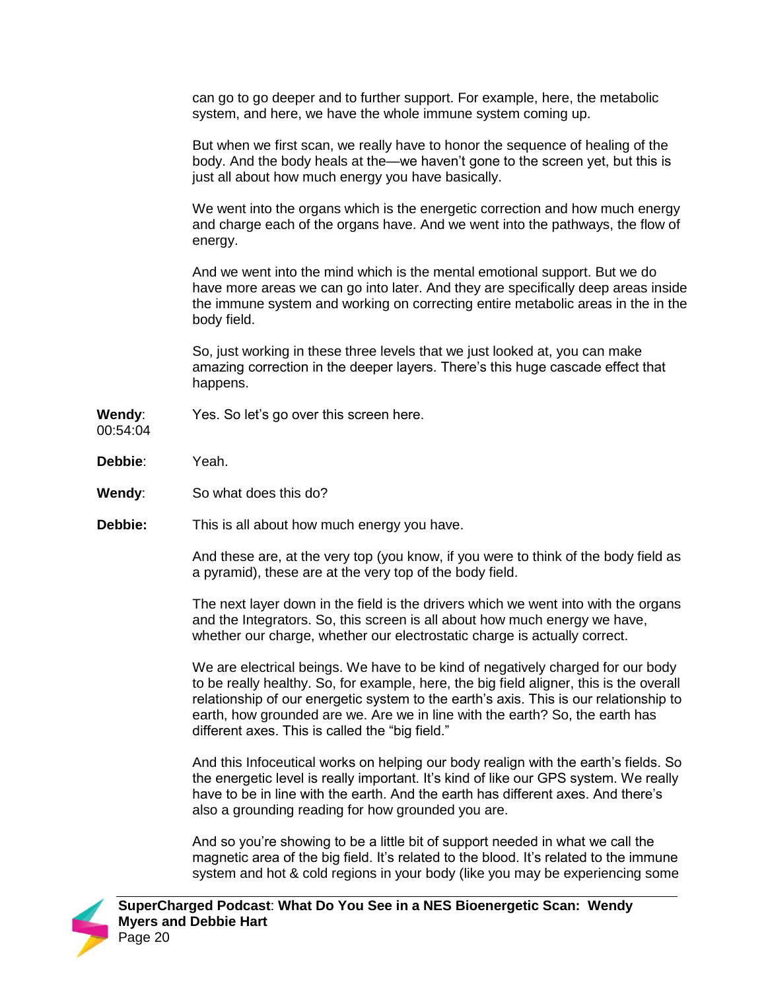can go to go deeper and to further support. For example, here, the metabolic system, and here, we have the whole immune system coming up.

But when we first scan, we really have to honor the sequence of healing of the body. And the body heals at the—we haven't gone to the screen yet, but this is just all about how much energy you have basically.

We went into the organs which is the energetic correction and how much energy and charge each of the organs have. And we went into the pathways, the flow of energy.

And we went into the mind which is the mental emotional support. But we do have more areas we can go into later. And they are specifically deep areas inside the immune system and working on correcting entire metabolic areas in the in the body field.

So, just working in these three levels that we just looked at, you can make amazing correction in the deeper layers. There's this huge cascade effect that happens.

**Wendy**: Yes. So let's go over this screen here.

00:54:04

- **Debbie**: Yeah.
- **Wendy**: So what does this do?
- **Debbie:** This is all about how much energy you have.

And these are, at the very top (you know, if you were to think of the body field as a pyramid), these are at the very top of the body field.

The next layer down in the field is the drivers which we went into with the organs and the Integrators. So, this screen is all about how much energy we have, whether our charge, whether our electrostatic charge is actually correct.

We are electrical beings. We have to be kind of negatively charged for our body to be really healthy. So, for example, here, the big field aligner, this is the overall relationship of our energetic system to the earth's axis. This is our relationship to earth, how grounded are we. Are we in line with the earth? So, the earth has different axes. This is called the "big field."

And this Infoceutical works on helping our body realign with the earth's fields. So the energetic level is really important. It's kind of like our GPS system. We really have to be in line with the earth. And the earth has different axes. And there's also a grounding reading for how grounded you are.

And so you're showing to be a little bit of support needed in what we call the magnetic area of the big field. It's related to the blood. It's related to the immune system and hot & cold regions in your body (like you may be experiencing some

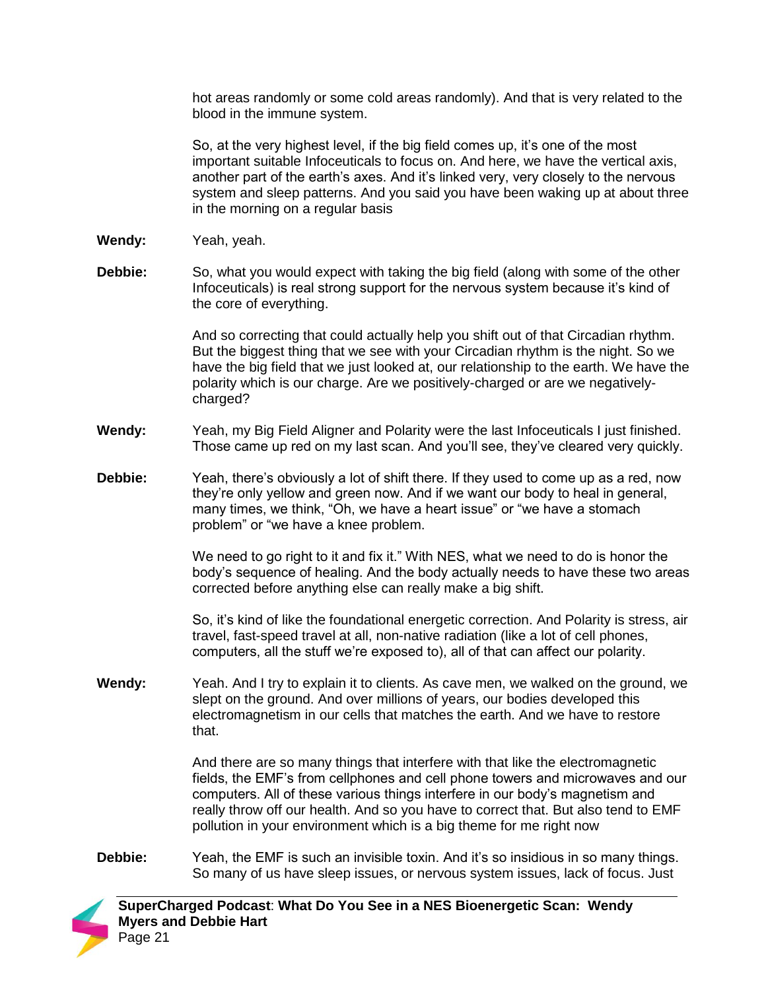hot areas randomly or some cold areas randomly). And that is very related to the blood in the immune system.

So, at the very highest level, if the big field comes up, it's one of the most important suitable Infoceuticals to focus on. And here, we have the vertical axis, another part of the earth's axes. And it's linked very, very closely to the nervous system and sleep patterns. And you said you have been waking up at about three in the morning on a regular basis

- **Wendy:** Yeah, yeah.
- **Debbie:** So, what you would expect with taking the big field (along with some of the other Infoceuticals) is real strong support for the nervous system because it's kind of the core of everything.

And so correcting that could actually help you shift out of that Circadian rhythm. But the biggest thing that we see with your Circadian rhythm is the night. So we have the big field that we just looked at, our relationship to the earth. We have the polarity which is our charge. Are we positively-charged or are we negativelycharged?

- **Wendy:** Yeah, my Big Field Aligner and Polarity were the last Infoceuticals I just finished. Those came up red on my last scan. And you'll see, they've cleared very quickly.
- **Debbie:** Yeah, there's obviously a lot of shift there. If they used to come up as a red, now they're only yellow and green now. And if we want our body to heal in general, many times, we think, "Oh, we have a heart issue" or "we have a stomach problem" or "we have a knee problem.

We need to go right to it and fix it." With NES, what we need to do is honor the body's sequence of healing. And the body actually needs to have these two areas corrected before anything else can really make a big shift.

So, it's kind of like the foundational energetic correction. And Polarity is stress, air travel, fast-speed travel at all, non-native radiation (like a lot of cell phones, computers, all the stuff we're exposed to), all of that can affect our polarity.

**Wendy:** Yeah. And I try to explain it to clients. As cave men, we walked on the ground, we slept on the ground. And over millions of years, our bodies developed this electromagnetism in our cells that matches the earth. And we have to restore that.

> And there are so many things that interfere with that like the electromagnetic fields, the EMF's from cellphones and cell phone towers and microwaves and our computers. All of these various things interfere in our body's magnetism and really throw off our health. And so you have to correct that. But also tend to EMF pollution in your environment which is a big theme for me right now

**Debbie:** Yeah, the EMF is such an invisible toxin. And it's so insidious in so many things. So many of us have sleep issues, or nervous system issues, lack of focus. Just

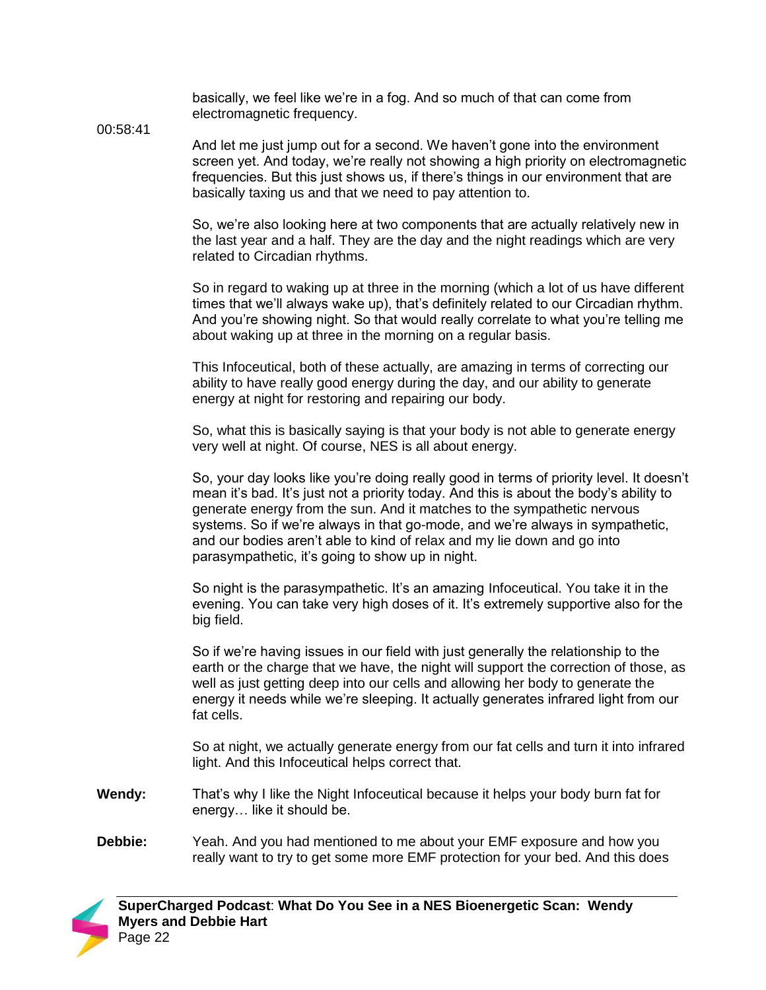basically, we feel like we're in a fog. And so much of that can come from electromagnetic frequency.

00:58:41

And let me just jump out for a second. We haven't gone into the environment screen yet. And today, we're really not showing a high priority on electromagnetic frequencies. But this just shows us, if there's things in our environment that are basically taxing us and that we need to pay attention to.

So, we're also looking here at two components that are actually relatively new in the last year and a half. They are the day and the night readings which are very related to Circadian rhythms.

So in regard to waking up at three in the morning (which a lot of us have different times that we'll always wake up), that's definitely related to our Circadian rhythm. And you're showing night. So that would really correlate to what you're telling me about waking up at three in the morning on a regular basis.

This Infoceutical, both of these actually, are amazing in terms of correcting our ability to have really good energy during the day, and our ability to generate energy at night for restoring and repairing our body.

So, what this is basically saying is that your body is not able to generate energy very well at night. Of course, NES is all about energy.

So, your day looks like you're doing really good in terms of priority level. It doesn't mean it's bad. It's just not a priority today. And this is about the body's ability to generate energy from the sun. And it matches to the sympathetic nervous systems. So if we're always in that go-mode, and we're always in sympathetic, and our bodies aren't able to kind of relax and my lie down and go into parasympathetic, it's going to show up in night.

So night is the parasympathetic. It's an amazing Infoceutical. You take it in the evening. You can take very high doses of it. It's extremely supportive also for the big field.

So if we're having issues in our field with just generally the relationship to the earth or the charge that we have, the night will support the correction of those, as well as just getting deep into our cells and allowing her body to generate the energy it needs while we're sleeping. It actually generates infrared light from our fat cells.

So at night, we actually generate energy from our fat cells and turn it into infrared light. And this Infoceutical helps correct that.

- **Wendy:** That's why I like the Night Infoceutical because it helps your body burn fat for energy… like it should be.
- **Debbie:** Yeah. And you had mentioned to me about your EMF exposure and how you really want to try to get some more EMF protection for your bed. And this does

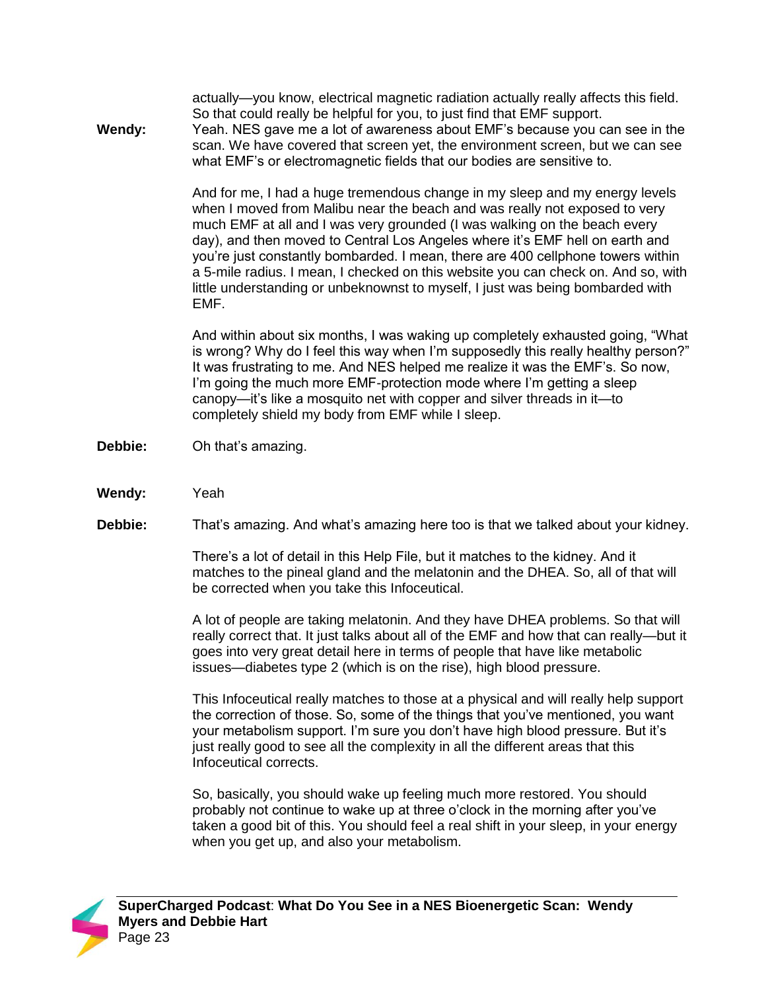actually—you know, electrical magnetic radiation actually really affects this field. So that could really be helpful for you, to just find that EMF support.

**Wendy:** Yeah. NES gave me a lot of awareness about EMF's because you can see in the scan. We have covered that screen yet, the environment screen, but we can see what EMF's or electromagnetic fields that our bodies are sensitive to.

> And for me, I had a huge tremendous change in my sleep and my energy levels when I moved from Malibu near the beach and was really not exposed to very much EMF at all and I was very grounded (I was walking on the beach every day), and then moved to Central Los Angeles where it's EMF hell on earth and you're just constantly bombarded. I mean, there are 400 cellphone towers within a 5-mile radius. I mean, I checked on this website you can check on. And so, with little understanding or unbeknownst to myself, I just was being bombarded with EMF.

> And within about six months, I was waking up completely exhausted going, "What is wrong? Why do I feel this way when I'm supposedly this really healthy person?" It was frustrating to me. And NES helped me realize it was the EMF's. So now, I'm going the much more EMF-protection mode where I'm getting a sleep canopy—it's like a mosquito net with copper and silver threads in it—to completely shield my body from EMF while I sleep.

- **Debbie:** Oh that's amazing.
- **Wendy:** Yeah
- **Debbie:** That's amazing. And what's amazing here too is that we talked about your kidney.

There's a lot of detail in this Help File, but it matches to the kidney. And it matches to the pineal gland and the melatonin and the DHEA. So, all of that will be corrected when you take this Infoceutical.

A lot of people are taking melatonin. And they have DHEA problems. So that will really correct that. It just talks about all of the EMF and how that can really—but it goes into very great detail here in terms of people that have like metabolic issues—diabetes type 2 (which is on the rise), high blood pressure.

This Infoceutical really matches to those at a physical and will really help support the correction of those. So, some of the things that you've mentioned, you want your metabolism support. I'm sure you don't have high blood pressure. But it's just really good to see all the complexity in all the different areas that this Infoceutical corrects.

So, basically, you should wake up feeling much more restored. You should probably not continue to wake up at three o'clock in the morning after you've taken a good bit of this. You should feel a real shift in your sleep, in your energy when you get up, and also your metabolism.

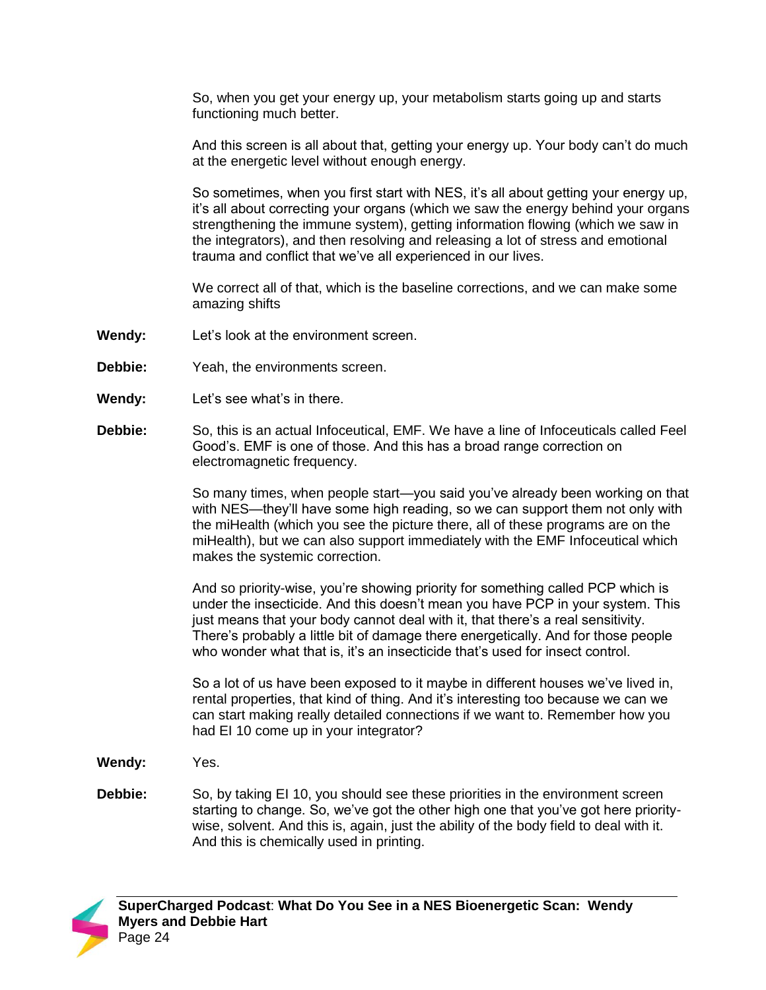So, when you get your energy up, your metabolism starts going up and starts functioning much better.

And this screen is all about that, getting your energy up. Your body can't do much at the energetic level without enough energy.

So sometimes, when you first start with NES, it's all about getting your energy up, it's all about correcting your organs (which we saw the energy behind your organs strengthening the immune system), getting information flowing (which we saw in the integrators), and then resolving and releasing a lot of stress and emotional trauma and conflict that we've all experienced in our lives.

We correct all of that, which is the baseline corrections, and we can make some amazing shifts

- **Wendy:** Let's look at the environment screen.
- **Debbie:** Yeah, the environments screen.
- **Wendy:** Let's see what's in there.
- **Debbie:** So, this is an actual Infoceutical, EMF. We have a line of Infoceuticals called Feel Good's. EMF is one of those. And this has a broad range correction on electromagnetic frequency.

So many times, when people start—you said you've already been working on that with NES—they'll have some high reading, so we can support them not only with the miHealth (which you see the picture there, all of these programs are on the miHealth), but we can also support immediately with the EMF Infoceutical which makes the systemic correction.

And so priority-wise, you're showing priority for something called PCP which is under the insecticide. And this doesn't mean you have PCP in your system. This just means that your body cannot deal with it, that there's a real sensitivity. There's probably a little bit of damage there energetically. And for those people who wonder what that is, it's an insecticide that's used for insect control.

So a lot of us have been exposed to it maybe in different houses we've lived in, rental properties, that kind of thing. And it's interesting too because we can we can start making really detailed connections if we want to. Remember how you had EI 10 come up in your integrator?

**Wendy:** Yes.

**Debbie:** So, by taking EI 10, you should see these priorities in the environment screen starting to change. So, we've got the other high one that you've got here prioritywise, solvent. And this is, again, just the ability of the body field to deal with it. And this is chemically used in printing.

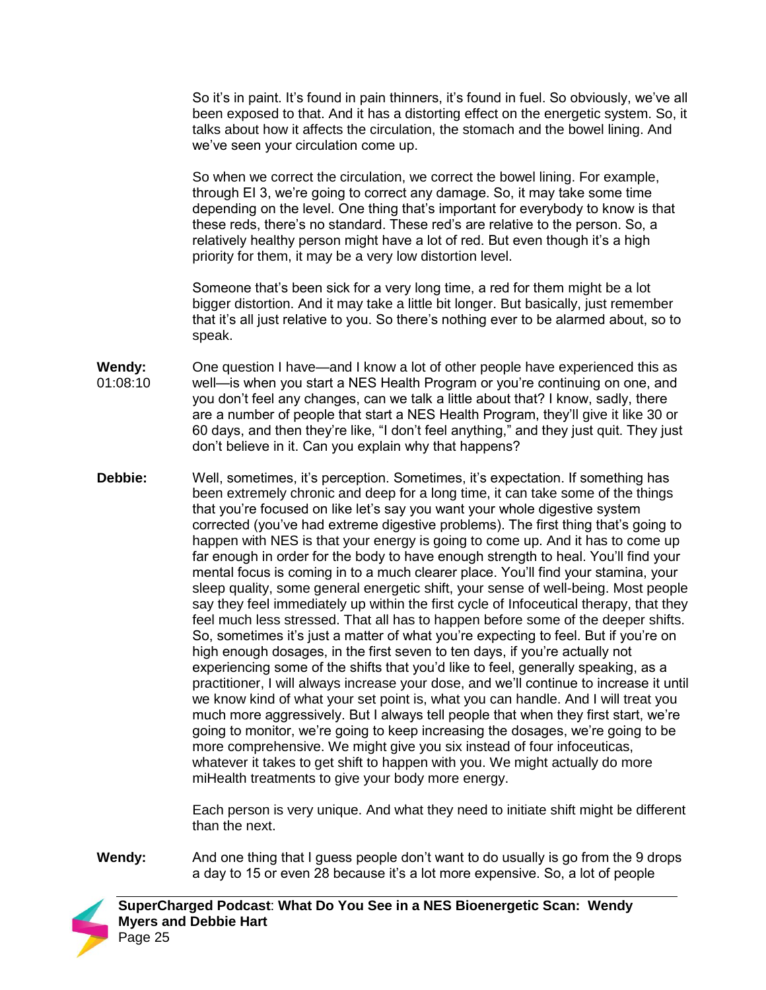So it's in paint. It's found in pain thinners, it's found in fuel. So obviously, we've all been exposed to that. And it has a distorting effect on the energetic system. So, it talks about how it affects the circulation, the stomach and the bowel lining. And we've seen your circulation come up.

So when we correct the circulation, we correct the bowel lining. For example, through EI 3, we're going to correct any damage. So, it may take some time depending on the level. One thing that's important for everybody to know is that these reds, there's no standard. These red's are relative to the person. So, a relatively healthy person might have a lot of red. But even though it's a high priority for them, it may be a very low distortion level.

Someone that's been sick for a very long time, a red for them might be a lot bigger distortion. And it may take a little bit longer. But basically, just remember that it's all just relative to you. So there's nothing ever to be alarmed about, so to speak.

- **Wendy:** 01:08:10 One question I have—and I know a lot of other people have experienced this as well—is when you start a NES Health Program or you're continuing on one, and you don't feel any changes, can we talk a little about that? I know, sadly, there are a number of people that start a NES Health Program, they'll give it like 30 or 60 days, and then they're like, "I don't feel anything," and they just quit. They just don't believe in it. Can you explain why that happens?
- **Debbie:** Well, sometimes, it's perception. Sometimes, it's expectation. If something has been extremely chronic and deep for a long time, it can take some of the things that you're focused on like let's say you want your whole digestive system corrected (you've had extreme digestive problems). The first thing that's going to happen with NES is that your energy is going to come up. And it has to come up far enough in order for the body to have enough strength to heal. You'll find your mental focus is coming in to a much clearer place. You'll find your stamina, your sleep quality, some general energetic shift, your sense of well-being. Most people say they feel immediately up within the first cycle of Infoceutical therapy, that they feel much less stressed. That all has to happen before some of the deeper shifts. So, sometimes it's just a matter of what you're expecting to feel. But if you're on high enough dosages, in the first seven to ten days, if you're actually not experiencing some of the shifts that you'd like to feel, generally speaking, as a practitioner, I will always increase your dose, and we'll continue to increase it until we know kind of what your set point is, what you can handle. And I will treat you much more aggressively. But I always tell people that when they first start, we're going to monitor, we're going to keep increasing the dosages, we're going to be more comprehensive. We might give you six instead of four infoceuticas, whatever it takes to get shift to happen with you. We might actually do more miHealth treatments to give your body more energy.

Each person is very unique. And what they need to initiate shift might be different than the next.

**Wendy:** And one thing that I guess people don't want to do usually is go from the 9 drops a day to 15 or even 28 because it's a lot more expensive. So, a lot of people

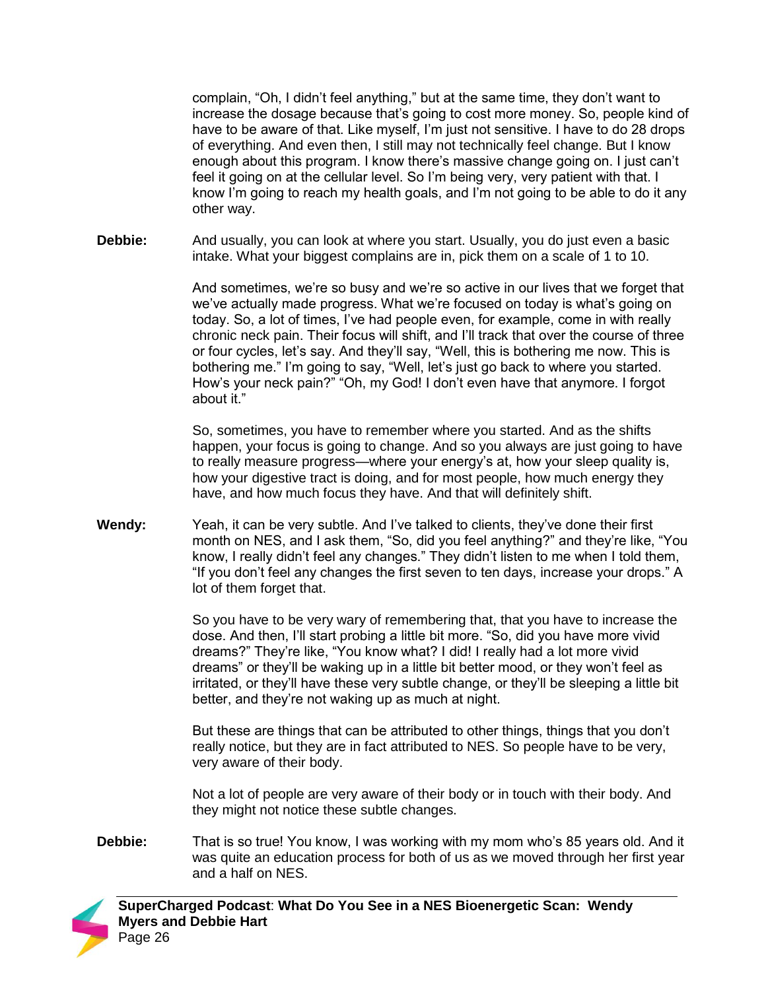complain, "Oh, I didn't feel anything," but at the same time, they don't want to increase the dosage because that's going to cost more money. So, people kind of have to be aware of that. Like myself, I'm just not sensitive. I have to do 28 drops of everything. And even then, I still may not technically feel change. But I know enough about this program. I know there's massive change going on. I just can't feel it going on at the cellular level. So I'm being very, very patient with that. I know I'm going to reach my health goals, and I'm not going to be able to do it any other way.

**Debbie:** And usually, you can look at where you start. Usually, you do just even a basic intake. What your biggest complains are in, pick them on a scale of 1 to 10.

> And sometimes, we're so busy and we're so active in our lives that we forget that we've actually made progress. What we're focused on today is what's going on today. So, a lot of times, I've had people even, for example, come in with really chronic neck pain. Their focus will shift, and I'll track that over the course of three or four cycles, let's say. And they'll say, "Well, this is bothering me now. This is bothering me." I'm going to say, "Well, let's just go back to where you started. How's your neck pain?" "Oh, my God! I don't even have that anymore. I forgot about it."

> So, sometimes, you have to remember where you started. And as the shifts happen, your focus is going to change. And so you always are just going to have to really measure progress—where your energy's at, how your sleep quality is, how your digestive tract is doing, and for most people, how much energy they have, and how much focus they have. And that will definitely shift.

**Wendy:** Yeah, it can be very subtle. And I've talked to clients, they've done their first month on NES, and I ask them, "So, did you feel anything?" and they're like, "You know, I really didn't feel any changes." They didn't listen to me when I told them, "If you don't feel any changes the first seven to ten days, increase your drops." A lot of them forget that.

> So you have to be very wary of remembering that, that you have to increase the dose. And then, I'll start probing a little bit more. "So, did you have more vivid dreams?" They're like, "You know what? I did! I really had a lot more vivid dreams" or they'll be waking up in a little bit better mood, or they won't feel as irritated, or they'll have these very subtle change, or they'll be sleeping a little bit better, and they're not waking up as much at night.

But these are things that can be attributed to other things, things that you don't really notice, but they are in fact attributed to NES. So people have to be very, very aware of their body.

Not a lot of people are very aware of their body or in touch with their body. And they might not notice these subtle changes.

**Debbie:** That is so true! You know, I was working with my mom who's 85 years old. And it was quite an education process for both of us as we moved through her first year and a half on NES.

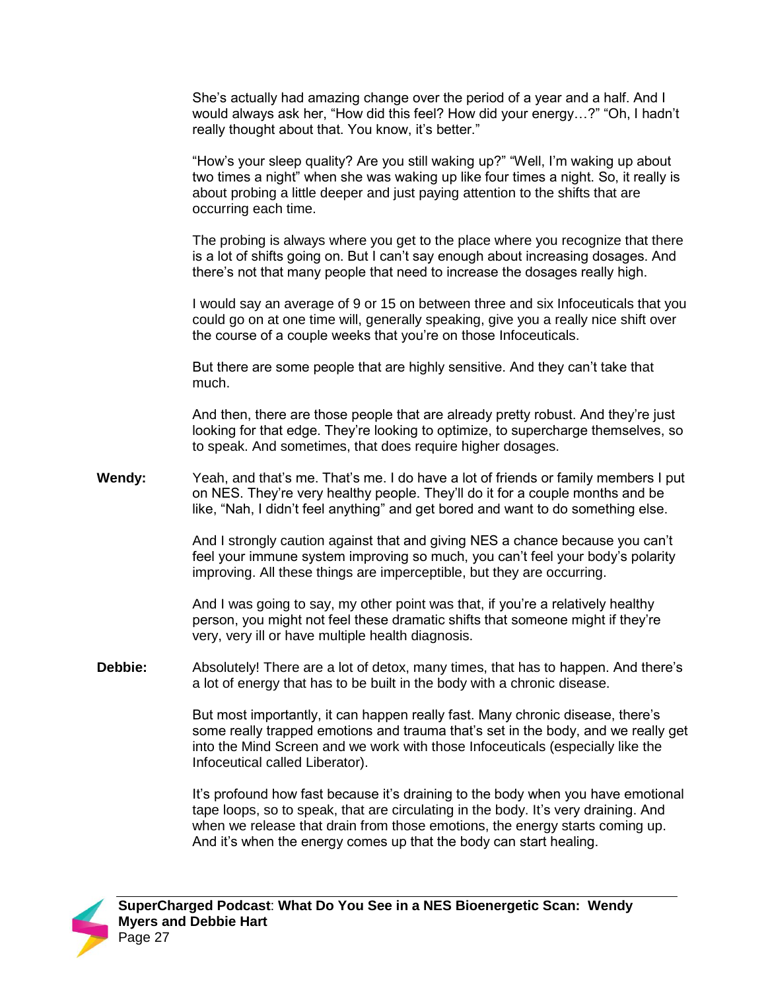She's actually had amazing change over the period of a year and a half. And I would always ask her, "How did this feel? How did your energy…?" "Oh, I hadn't really thought about that. You know, it's better."

"How's your sleep quality? Are you still waking up?" "Well, I'm waking up about two times a night" when she was waking up like four times a night. So, it really is about probing a little deeper and just paying attention to the shifts that are occurring each time.

The probing is always where you get to the place where you recognize that there is a lot of shifts going on. But I can't say enough about increasing dosages. And there's not that many people that need to increase the dosages really high.

I would say an average of 9 or 15 on between three and six Infoceuticals that you could go on at one time will, generally speaking, give you a really nice shift over the course of a couple weeks that you're on those Infoceuticals.

But there are some people that are highly sensitive. And they can't take that much.

And then, there are those people that are already pretty robust. And they're just looking for that edge. They're looking to optimize, to supercharge themselves, so to speak. And sometimes, that does require higher dosages.

**Wendy:** Yeah, and that's me. That's me. I do have a lot of friends or family members I put on NES. They're very healthy people. They'll do it for a couple months and be like, "Nah, I didn't feel anything" and get bored and want to do something else.

> And I strongly caution against that and giving NES a chance because you can't feel your immune system improving so much, you can't feel your body's polarity improving. All these things are imperceptible, but they are occurring.

And I was going to say, my other point was that, if you're a relatively healthy person, you might not feel these dramatic shifts that someone might if they're very, very ill or have multiple health diagnosis.

**Debbie:** Absolutely! There are a lot of detox, many times, that has to happen. And there's a lot of energy that has to be built in the body with a chronic disease.

> But most importantly, it can happen really fast. Many chronic disease, there's some really trapped emotions and trauma that's set in the body, and we really get into the Mind Screen and we work with those Infoceuticals (especially like the Infoceutical called Liberator).

> It's profound how fast because it's draining to the body when you have emotional tape loops, so to speak, that are circulating in the body. It's very draining. And when we release that drain from those emotions, the energy starts coming up. And it's when the energy comes up that the body can start healing.

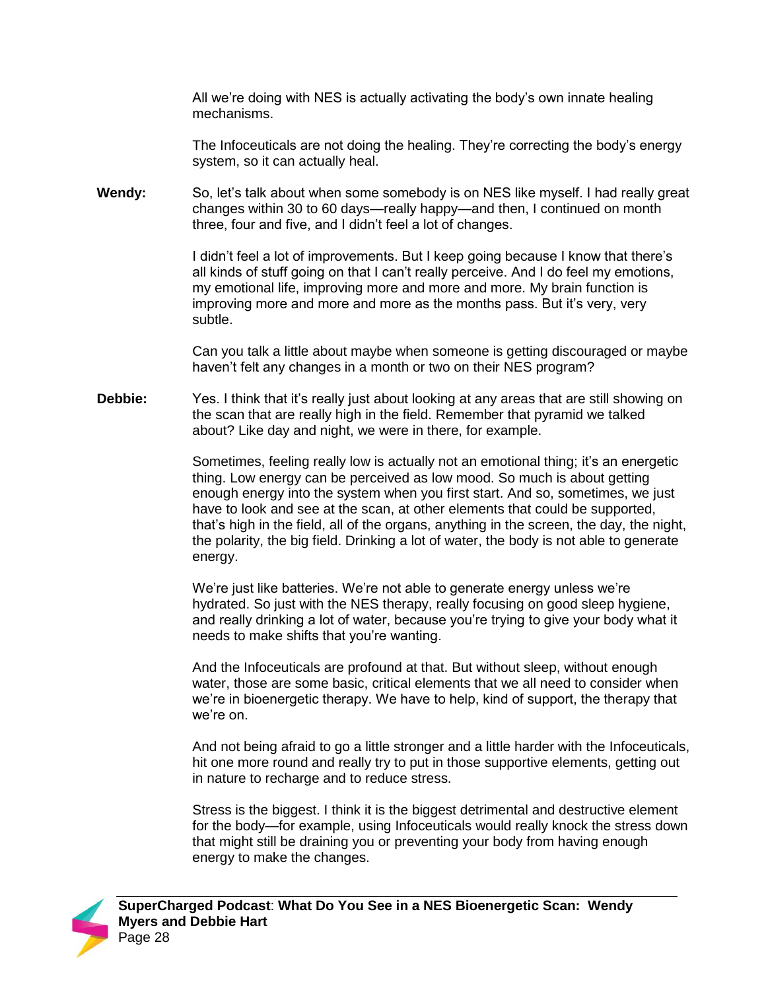All we're doing with NES is actually activating the body's own innate healing mechanisms.

The Infoceuticals are not doing the healing. They're correcting the body's energy system, so it can actually heal.

**Wendy:** So, let's talk about when some somebody is on NES like myself. I had really great changes within 30 to 60 days—really happy—and then, I continued on month three, four and five, and I didn't feel a lot of changes.

> I didn't feel a lot of improvements. But I keep going because I know that there's all kinds of stuff going on that I can't really perceive. And I do feel my emotions, my emotional life, improving more and more and more. My brain function is improving more and more and more as the months pass. But it's very, very subtle.

Can you talk a little about maybe when someone is getting discouraged or maybe haven't felt any changes in a month or two on their NES program?

**Debbie:** Yes. I think that it's really just about looking at any areas that are still showing on the scan that are really high in the field. Remember that pyramid we talked about? Like day and night, we were in there, for example.

> Sometimes, feeling really low is actually not an emotional thing; it's an energetic thing. Low energy can be perceived as low mood. So much is about getting enough energy into the system when you first start. And so, sometimes, we just have to look and see at the scan, at other elements that could be supported, that's high in the field, all of the organs, anything in the screen, the day, the night, the polarity, the big field. Drinking a lot of water, the body is not able to generate energy.

We're just like batteries. We're not able to generate energy unless we're hydrated. So just with the NES therapy, really focusing on good sleep hygiene, and really drinking a lot of water, because you're trying to give your body what it needs to make shifts that you're wanting.

And the Infoceuticals are profound at that. But without sleep, without enough water, those are some basic, critical elements that we all need to consider when we're in bioenergetic therapy. We have to help, kind of support, the therapy that we're on.

And not being afraid to go a little stronger and a little harder with the Infoceuticals, hit one more round and really try to put in those supportive elements, getting out in nature to recharge and to reduce stress.

Stress is the biggest. I think it is the biggest detrimental and destructive element for the body—for example, using Infoceuticals would really knock the stress down that might still be draining you or preventing your body from having enough energy to make the changes.

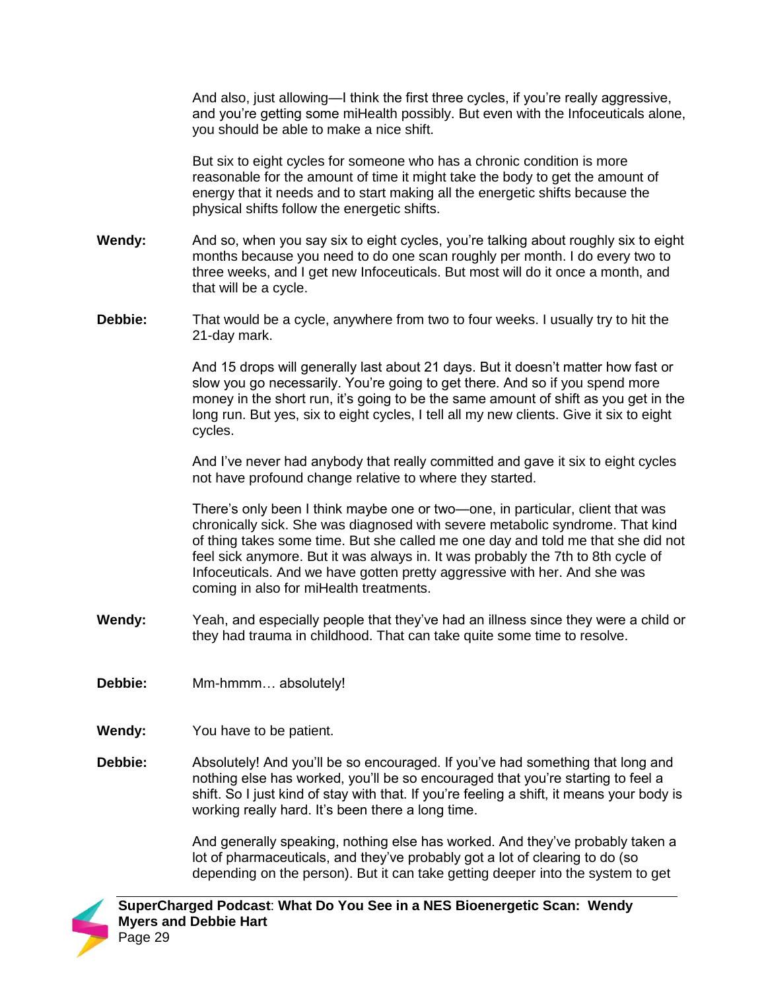And also, just allowing—I think the first three cycles, if you're really aggressive, and you're getting some miHealth possibly. But even with the Infoceuticals alone, you should be able to make a nice shift.

But six to eight cycles for someone who has a chronic condition is more reasonable for the amount of time it might take the body to get the amount of energy that it needs and to start making all the energetic shifts because the physical shifts follow the energetic shifts.

- **Wendy:** And so, when you say six to eight cycles, you're talking about roughly six to eight months because you need to do one scan roughly per month. I do every two to three weeks, and I get new Infoceuticals. But most will do it once a month, and that will be a cycle.
- **Debbie:** That would be a cycle, anywhere from two to four weeks. I usually try to hit the 21-day mark.

And 15 drops will generally last about 21 days. But it doesn't matter how fast or slow you go necessarily. You're going to get there. And so if you spend more money in the short run, it's going to be the same amount of shift as you get in the long run. But yes, six to eight cycles, I tell all my new clients. Give it six to eight cycles.

And I've never had anybody that really committed and gave it six to eight cycles not have profound change relative to where they started.

There's only been I think maybe one or two—one, in particular, client that was chronically sick. She was diagnosed with severe metabolic syndrome. That kind of thing takes some time. But she called me one day and told me that she did not feel sick anymore. But it was always in. It was probably the 7th to 8th cycle of Infoceuticals. And we have gotten pretty aggressive with her. And she was coming in also for miHealth treatments.

- **Wendy:** Yeah, and especially people that they've had an illness since they were a child or they had trauma in childhood. That can take quite some time to resolve.
- **Debbie:** Mm-hmmm… absolutely!
- **Wendy:** You have to be patient.
- **Debbie:** Absolutely! And you'll be so encouraged. If you've had something that long and nothing else has worked, you'll be so encouraged that you're starting to feel a shift. So I just kind of stay with that. If you're feeling a shift, it means your body is working really hard. It's been there a long time.

And generally speaking, nothing else has worked. And they've probably taken a lot of pharmaceuticals, and they've probably got a lot of clearing to do (so depending on the person). But it can take getting deeper into the system to get